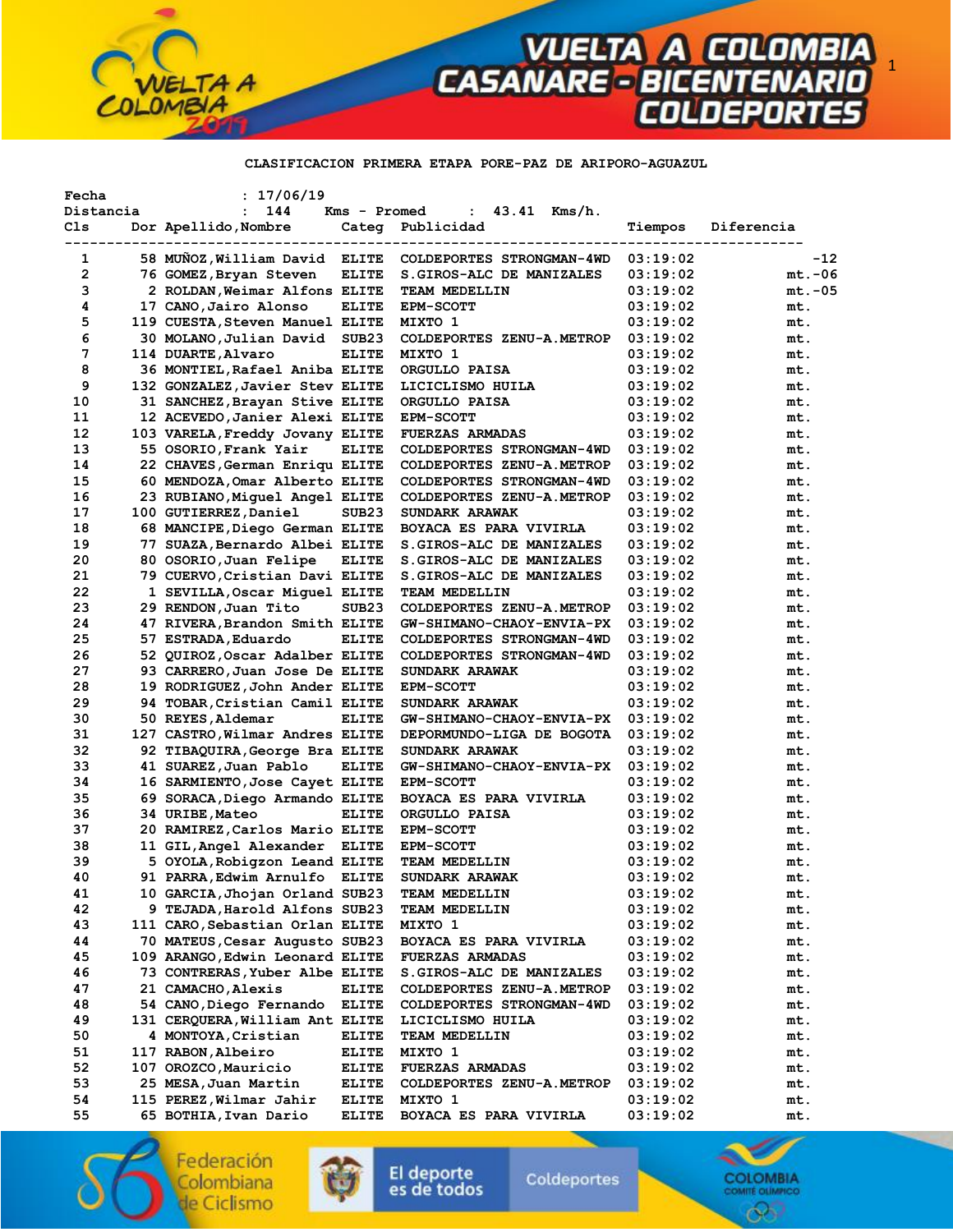

### **CLASIFICACION PRIMERA ETAPA PORE-PAZ DE ARIPORO-AGUAZUL**

| Fecha        | : 17/06/19                      |                   |                                  |          |            |
|--------------|---------------------------------|-------------------|----------------------------------|----------|------------|
| Distancia    | $\ddot{\phantom{a}}$<br>144     |                   | : $43.41$ Kms/h.<br>Kms - Promed |          |            |
| Cls          | Dor Apellido, Nombre            |                   | Categ Publicidad                 | Tiempos  | Diferencia |
|              |                                 |                   |                                  |          |            |
| 1            | 58 MUNOZ, William David ELITE   |                   | COLDEPORTES STRONGMAN-4WD        | 03:19:02 | $-12$      |
| $\mathbf{2}$ | 76 GOMEZ, Bryan Steven          | <b>ELITE</b>      | S. GIROS-ALC DE MANIZALES        | 03:19:02 | $mt.-06$   |
| з            | 2 ROLDAN, Weimar Alfons ELITE   |                   | TEAM MEDELLIN                    | 03:19:02 | $mt.-05$   |
| 4            | 17 CANO, Jairo Alonso           | <b>ELITE</b>      | <b>EPM-SCOTT</b>                 | 03:19:02 | mt.        |
| 5            | 119 CUESTA, Steven Manuel ELITE |                   | MIXTO 1                          | 03:19:02 | mt.        |
| 6            | 30 MOLANO,Julian David          | SUB <sub>23</sub> | COLDEPORTES ZENU-A.METROP        | 03:19:02 | mt.        |
| 7            | 114 DUARTE, Alvaro              | <b>ELITE</b>      | MIXTO 1                          | 03:19:02 | mt.        |
| 8            | 36 MONTIEL, Rafael Aniba ELITE  |                   | ORGULLO PAISA                    | 03:19:02 | mt.        |
| 9            | 132 GONZALEZ, Javier Stev ELITE |                   | LICICLISMO HUILA                 | 03:19:02 | mt.        |
| 10           | 31 SANCHEZ, Brayan Stive ELITE  |                   | ORGULLO PAISA                    | 03:19:02 | mt.        |
| 11           | 12 ACEVEDO, Janier Alexi ELITE  |                   | <b>EPM-SCOTT</b>                 | 03:19:02 | mt.        |
| 12           | 103 VARELA, Freddy Jovany ELITE |                   | <b>FUERZAS ARMADAS</b>           | 03:19:02 | mt.        |
| 13           | 55 OSORIO, Frank Yair           | <b>ELITE</b>      | COLDEPORTES STRONGMAN-4WD        | 03:19:02 | mt.        |
| 14           | 22 CHAVES, German Enriqu ELITE  |                   | COLDEPORTES ZENU-A.METROP        | 03:19:02 | mt.        |
| 15           | 60 MENDOZA, Omar Alberto ELITE  |                   | COLDEPORTES STRONGMAN-4WD        | 03:19:02 | mt.        |
| 16           | 23 RUBIANO, Miquel Angel ELITE  |                   | COLDEPORTES ZENU-A.METROP        | 03:19:02 | mt.        |
| 17           | 100 GUTIERREZ, Daniel           | SUB <sub>23</sub> | <b>SUNDARK ARAWAK</b>            | 03:19:02 | mt.        |
| 18           | 68 MANCIPE, Diego German ELITE  |                   | BOYACA ES PARA VIVIRLA           | 03:19:02 | mt.        |
| 19           | 77 SUAZA, Bernardo Albei ELITE  |                   | S. GIROS-ALC DE MANIZALES        | 03:19:02 | mt.        |
| 20           | 80 OSORIO, Juan Felipe          | <b>ELITE</b>      | S.GIROS-ALC DE MANIZALES         | 03:19:02 | mt.        |
| 21           | 79 CUERVO, Cristian Davi ELITE  |                   | S. GIROS-ALC DE MANIZALES        | 03:19:02 | mt.        |
| 22           | 1 SEVILLA, Oscar Miguel ELITE   |                   | TEAM MEDELLIN                    | 03:19:02 | mt.        |
| 23           | 29 RENDON, Juan Tito            | SUB <sub>23</sub> | COLDEPORTES ZENU-A.METROP        | 03:19:02 | mt.        |
| 24           | 47 RIVERA, Brandon Smith ELITE  |                   | GW-SHIMANO-CHAOY-ENVIA-PX        | 03:19:02 | mt.        |
| 25           | 57 ESTRADA, Eduardo             | <b>ELITE</b>      | COLDEPORTES STRONGMAN-4WD        | 03:19:02 | mt.        |
| 26           | 52 QUIROZ, Oscar Adalber ELITE  |                   | COLDEPORTES STRONGMAN-4WD        | 03:19:02 | mt.        |
| 27           | 93 CARRERO, Juan Jose De ELITE  |                   | SUNDARK ARAWAK                   | 03:19:02 | mt.        |
| 28           | 19 RODRIGUEZ, John Ander ELITE  |                   | <b>EPM-SCOTT</b>                 | 03:19:02 | mt.        |
| 29           | 94 TOBAR, Cristian Camil ELITE  |                   | SUNDARK ARAWAK                   | 03:19:02 | mt.        |
| 30           | 50 REYES, Aldemar               | <b>ELITE</b>      | GW-SHIMANO-CHAOY-ENVIA-PX        | 03:19:02 | mt.        |
| 31           | 127 CASTRO, Wilmar Andres ELITE |                   | DEPORMUNDO-LIGA DE BOGOTA        | 03:19:02 | mt.        |
| 32           | 92 TIBAQUIRA, George Bra ELITE  |                   | SUNDARK ARAWAK                   | 03:19:02 | mt.        |
| 33           | 41 SUAREZ, Juan Pablo           | <b>ELITE</b>      | <b>GW-SHIMANO-CHAOY-ENVIA-PX</b> | 03:19:02 | mt.        |
| 34           | 16 SARMIENTO, Jose Cayet ELITE  |                   | <b>EPM-SCOTT</b>                 | 03:19:02 | mt.        |
| 35           | 69 SORACA, Diego Armando ELITE  |                   | BOYACA ES PARA VIVIRLA           | 03:19:02 | mt.        |
| 36           | 34 URIBE, Mateo                 | <b>ELITE</b>      | ORGULLO PAISA                    | 03:19:02 | mt.        |
| 37           | 20 RAMIREZ, Carlos Mario ELITE  |                   | <b>EPM-SCOTT</b>                 | 03:19:02 | mt.        |
| 38           | 11 GIL, Angel Alexander ELITE   |                   | <b>EPM-SCOTT</b>                 | 03:19:02 | mt.        |
| 39           | 5 OYOLA, Robigzon Leand ELITE   |                   | TEAM MEDELLIN                    | 03:19:02 | mt.        |
| 40           | 91 PARRA, Edwim Arnulfo ELITE   |                   | <b>SUNDARK ARAWAK</b>            | 03:19:02 | mt.        |
| 41           | 10 GARCIA, Jhojan Orland SUB23  |                   | <b>TEAM MEDELLIN</b>             | 03:19:02 | mt.        |
| 42           | 9 TEJADA, Harold Alfons SUB23   |                   | <b>TEAM MEDELLIN</b>             | 03:19:02 | mt.        |
| 43           | 111 CARO, Sebastian Orlan ELITE |                   | MIXTO 1                          | 03:19:02 | mt.        |
| 44           | 70 MATEUS, Cesar Augusto SUB23  |                   | BOYACA ES PARA VIVIRLA           | 03:19:02 | mt.        |
| 45           | 109 ARANGO, Edwin Leonard ELITE |                   | <b>FUERZAS ARMADAS</b>           | 03:19:02 | mt.        |
| 46           | 73 CONTRERAS, Yuber Albe ELITE  |                   | S.GIROS-ALC DE MANIZALES         | 03:19:02 | mt.        |
| 47           | 21 CAMACHO, Alexis              | <b>ELITE</b>      | COLDEPORTES ZENU-A.METROP        | 03:19:02 | mt.        |
| 48           | 54 CANO, Diego Fernando         | <b>ELITE</b>      | COLDEPORTES STRONGMAN-4WD        | 03:19:02 | mt.        |
| 49           | 131 CERQUERA, William Ant ELITE |                   | LICICLISMO HUILA                 | 03:19:02 | mt.        |
| 50           | 4 MONTOYA, Cristian             | <b>ELITE</b>      | <b>TEAM MEDELLIN</b>             | 03:19:02 | mt.        |
| 51           | 117 RABON, Albeiro              | <b>ELITE</b>      | MIXTO 1                          | 03:19:02 | mt.        |
| 52           | 107 OROZCO, Mauricio            | <b>ELITE</b>      | <b>FUERZAS ARMADAS</b>           | 03:19:02 | mt.        |
| 53           | 25 MESA,Juan Martin             | <b>ELITE</b>      | COLDEPORTES ZENU-A.METROP        | 03:19:02 | mt.        |
| 54           | 115 PEREZ,Wilmar Jahir          | <b>ELITE</b>      | MIXTO 1                          | 03:19:02 | mt.        |
| 55           | 65 BOTHIA, Ivan Dario           | <b>ELITE</b>      | BOYACA ES PARA VIVIRLA           | 03:19:02 | mt.        |

Federación Colombiana de Ciclismo



El deporte<br>es de todos

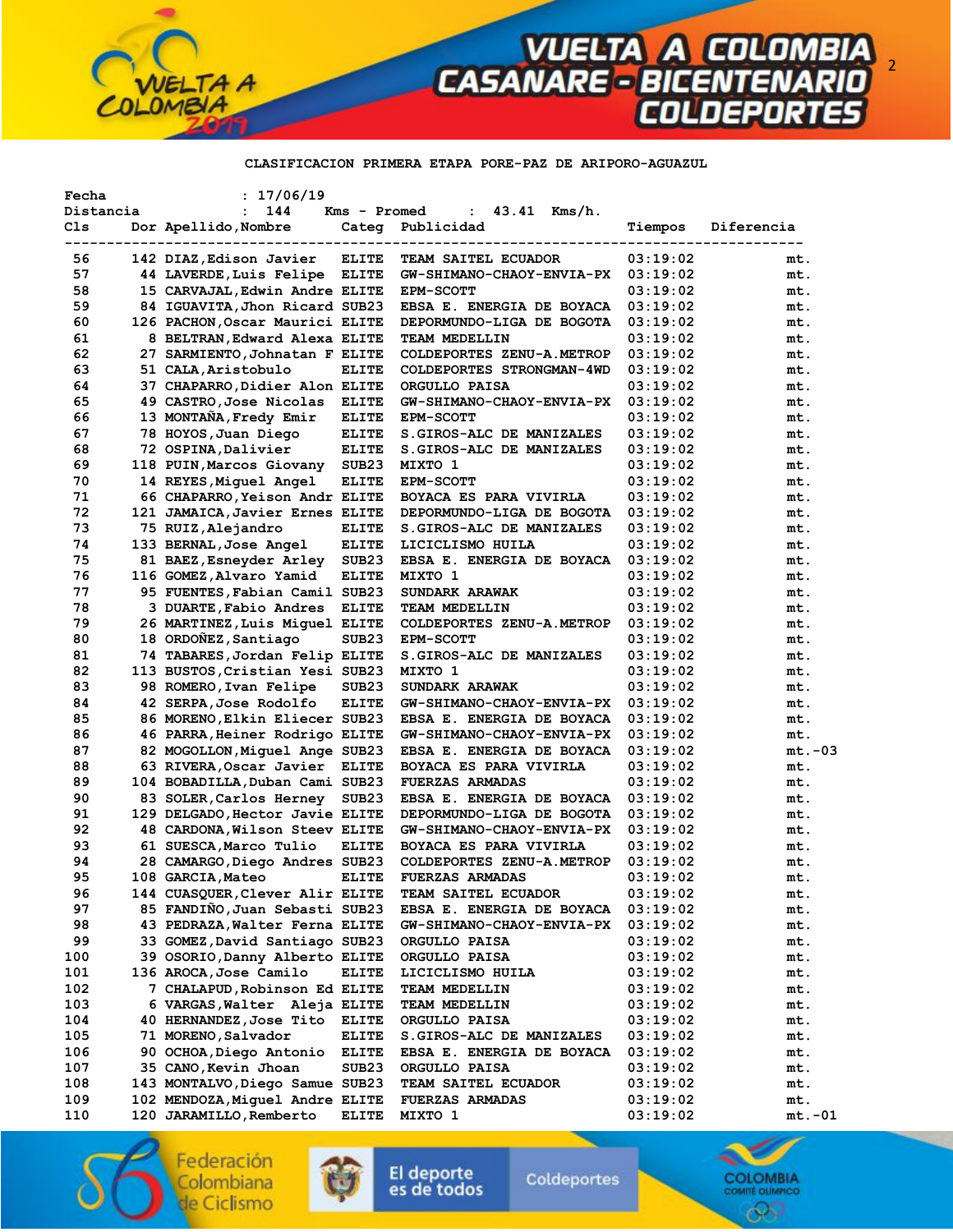

### **CLASIFICACION PRIMERA ETAPA PORE-PAZ DE ARIPORO-AGUAZUL**

| Fecha<br>Distancia | : 17/06/19<br>144<br>$\ddot{\phantom{a}}$                 | Kms - Promed      | 43.41 Kms/h.<br>$\mathbf{L}$                              |                      |            |
|--------------------|-----------------------------------------------------------|-------------------|-----------------------------------------------------------|----------------------|------------|
| Cls                | Dor Apellido, Nombre                                      |                   | Categ Publicidad                                          | Tiempos              | Diferencia |
| 56                 | 142 DIAZ, Edison Javier                                   | <b>ELITE</b>      | TEAM SAITEL ECUADOR                                       | 03:19:02             | mt.        |
| 57                 | 44 LAVERDE, Luis Felipe ELITE                             |                   | GW-SHIMANO-CHAOY-ENVIA-PX 03:19:02                        |                      | mt.        |
| 58                 | 15 CARVAJAL, Edwin Andre ELITE                            |                   | <b>EPM-SCOTT</b>                                          | 03:19:02             | mt.        |
| 59                 | 84 IGUAVITA, Jhon Ricard SUB23                            |                   | EBSA E. ENERGIA DE BOYACA                                 | 03:19:02             | mt.        |
| 60                 | 126 PACHON, Oscar Maurici ELITE                           |                   | DEPORMUNDO-LIGA DE BOGOTA                                 | 03:19:02             | mt.        |
| 61                 | 8 BELTRAN, Edward Alexa ELITE                             |                   | TEAM MEDELLIN                                             | 03:19:02             | mt.        |
| 62                 | 27 SARMIENTO, Johnatan F ELITE                            |                   | COLDEPORTES ZENU-A.METROP                                 | 03:19:02             | mt.        |
| 63                 | 51 CALA, Aristobulo                                       | <b>ELITE</b>      | COLDEPORTES STRONGMAN-4WD                                 | 03:19:02             | mt.        |
| 64                 | 37 CHAPARRO, Didier Alon ELITE                            |                   | ORGULLO PAISA                                             | 03:19:02             | mt.        |
| 65                 | 49 CASTRO, Jose Nicolas                                   | <b>ELITE</b>      | GW-SHIMANO-CHAOY-ENVIA-PX                                 | 03:19:02             | mt.        |
| 66                 | 13 MONTAÑA, Fredy Emir                                    | <b>ELITE</b>      | <b>EPM-SCOTT</b>                                          | 03:19:02             | mt.        |
| 67                 | 78 HOYOS, Juan Diego                                      | <b>ELITE</b>      | S.GIROS-ALC DE MANIZALES                                  | 03:19:02             | mt.        |
| 68                 | 72 OSPINA, Dalivier                                       | <b>ELITE</b>      | S.GIROS-ALC DE MANIZALES                                  | 03:19:02             | mt.        |
| 69                 | 118 PUIN, Marcos Giovany                                  | SUB <sub>23</sub> | MIXTO 1                                                   | 03:19:02             | mt.        |
| 70                 | 14 REYES, Miguel Angel                                    | <b>ELITE</b>      | <b>EPM-SCOTT</b>                                          | 03:19:02             | mt.        |
| 71                 | 66 CHAPARRO, Yeison Andr ELITE                            |                   | BOYACA ES PARA VIVIRLA                                    | 03:19:02             |            |
|                    |                                                           |                   |                                                           |                      | mt.        |
| 72                 | 121 JAMAICA, Javier Ernes ELITE                           |                   | DEPORMUNDO-LIGA DE BOGOTA                                 | 03:19:02             | mt.        |
| 73                 | 75 RUIZ, Alejandro                                        | <b>ELITE</b>      | S. GIROS-ALC DE MANIZALES                                 | 03:19:02             | mt.        |
| 74                 | 133 BERNAL, Jose Angel                                    | <b>ELITE</b>      | LICICLISMO HUILA                                          | 03:19:02             | mt.        |
| 75                 | 81 BAEZ, Esneyder Arley                                   | SUB <sub>23</sub> | EBSA E. ENERGIA DE BOYACA                                 | 03:19:02             | mt.        |
| 76                 | 116 GOMEZ, Alvaro Yamid                                   | <b>ELITE</b>      | MIXTO 1                                                   | 03:19:02             | mt.        |
| 77                 | 95 FUENTES, Fabian Camil SUB23                            |                   | SUNDARK ARAWAK                                            | 03:19:02             | mt.        |
| 78                 | 3 DUARTE, Fabio Andres                                    | <b>ELITE</b>      | <b>TEAM MEDELLIN</b>                                      | 03:19:02             | mt.        |
| 79                 | 26 MARTINEZ, Luis Miquel ELITE                            |                   | COLDEPORTES ZENU-A.METROP                                 | 03:19:02             | mt.        |
| 80                 | 18 ORDOÑEZ, Santiago                                      | SUB <sub>23</sub> | <b>EPM-SCOTT</b>                                          | 03:19:02             | mt.        |
| 81                 | 74 TABARES, Jordan Felip ELITE                            |                   | S. GIROS-ALC DE MANIZALES                                 | 03:19:02             | mt.        |
| 82<br>83           | 113 BUSTOS, Cristian Yesi SUB23<br>98 ROMERO, Ivan Felipe | SUB <sub>23</sub> | MIXTO 1                                                   | 03:19:02<br>03:19:02 | mt.<br>mt. |
| 84                 | 42 SERPA, Jose Rodolfo                                    | <b>ELITE</b>      | <b>SUNDARK ARAWAK</b><br><b>GW-SHIMANO-CHAOY-ENVIA-PX</b> | 03:19:02             | mt.        |
| 85                 | 86 MORENO, Elkin Eliecer SUB23                            |                   | EBSA E. ENERGIA DE BOYACA                                 | 03:19:02             | mt.        |
| 86                 | 46 PARRA, Heiner Rodrigo ELITE                            |                   | GW-SHIMANO-CHAOY-ENVIA-PX                                 | 03:19:02             | mt.        |
| 87                 | 82 MOGOLLON, Miguel Ange SUB23                            |                   | EBSA E. ENERGIA DE BOYACA                                 | 03:19:02             | $mt.-03$   |
| 88                 | 63 RIVERA, Oscar Javier ELITE                             |                   | <b>BOYACA ES PARA VIVIRLA</b>                             | 03:19:02             | mt.        |
| 89                 | 104 BOBADILLA, Duban Cami SUB23                           |                   | <b>FUERZAS ARMADAS</b>                                    | 03:19:02             | mt.        |
| 90                 | 83 SOLER, Carlos Herney                                   | SUB <sub>23</sub> | EBSA E. ENERGIA DE BOYACA                                 | 03:19:02             | mt.        |
| 91                 | 129 DELGADO, Hector Javie ELITE                           |                   | DEPORMUNDO-LIGA DE BOGOTA                                 | 03:19:02             | mt.        |
| 92                 | 48 CARDONA, Wilson Steev ELITE                            |                   | GW-SHIMANO-CHAOY-ENVIA-PX                                 | 03:19:02             | mt.        |
| 93                 | 61 SUESCA, Marco Tulio                                    | <b>ELITE</b>      | BOYACA ES PARA VIVIRLA                                    | 03:19:02             | mt.        |
| 94                 | 28 CAMARGO, Diego Andres SUB23                            |                   | COLDEPORTES ZENU-A.METROP                                 | 03:19:02             | mt.        |
| 95                 | 108 GARCIA, Mateo ELITE                                   |                   | <b>FUERZAS ARMADAS</b>                                    | 03:19:02             | mt.        |
| 96                 | 144 CUASQUER, Clever Alir ELITE                           |                   | <b>TEAM SAITEL ECUADOR</b>                                | 03:19:02             | mt.        |
| 97                 | 85 FANDIÑO, Juan Sebasti SUB23                            |                   | EBSA E. ENERGIA DE BOYACA                                 | 03:19:02             | mt.        |
| 98                 | 43 PEDRAZA, Walter Ferna ELITE                            |                   | GW-SHIMANO-CHAOY-ENVIA-PX                                 | 03:19:02             | mt.        |
| 99                 | 33 GOMEZ, David Santiago SUB23                            |                   | ORGULLO PAISA                                             | 03:19:02             | mt.        |
| 100                | 39 OSORIO, Danny Alberto ELITE                            |                   | ORGULLO PAISA                                             | 03:19:02             | mt.        |
| 101                | 136 AROCA, Jose Camilo                                    | <b>ELITE</b>      | LICICLISMO HUILA                                          | 03:19:02             | mt.        |
| 102                | 7 CHALAPUD,Robinson Ed ELITE                              |                   | <b>TEAM MEDELLIN</b>                                      | 03:19:02             | mt.        |
| 103                | 6 VARGAS, Walter Aleja ELITE                              |                   | <b>TEAM MEDELLIN</b>                                      | 03:19:02             | mt.        |
| 104                | 40 HERNANDEZ, Jose Tito                                   | <b>ELITE</b>      | ORGULLO PAISA                                             | 03:19:02             | mt.        |
| 105                | 71 MORENO, Salvador                                       | <b>ELITE</b>      | S.GIROS-ALC DE MANIZALES                                  | 03:19:02             | mt.        |
| 106                | 90 OCHOA, Diego Antonio                                   | <b>ELITE</b>      | EBSA E. ENERGIA DE BOYACA                                 | 03:19:02             | mt.        |
| 107                | 35 CANO, Kevin Jhoan                                      | SUB23             | ORGULLO PAISA                                             | 03:19:02             | mt.        |
| 108                | 143 MONTALVO, Diego Samue SUB23                           |                   | <b>TEAM SAITEL ECUADOR</b>                                | 03:19:02             | mt.        |
| 109                | 102 MENDOZA,Miguel Andre ELITE                            |                   | <b>FUERZAS ARMADAS</b>                                    | 03:19:02             | mt.        |
| 110                | 120 JARAMILLO, Remberto                                   | <b>ELITE</b>      | MIXTO 1                                                   | 03:19:02             | mt.-01     |

Federación Colombiana de Ciclismo



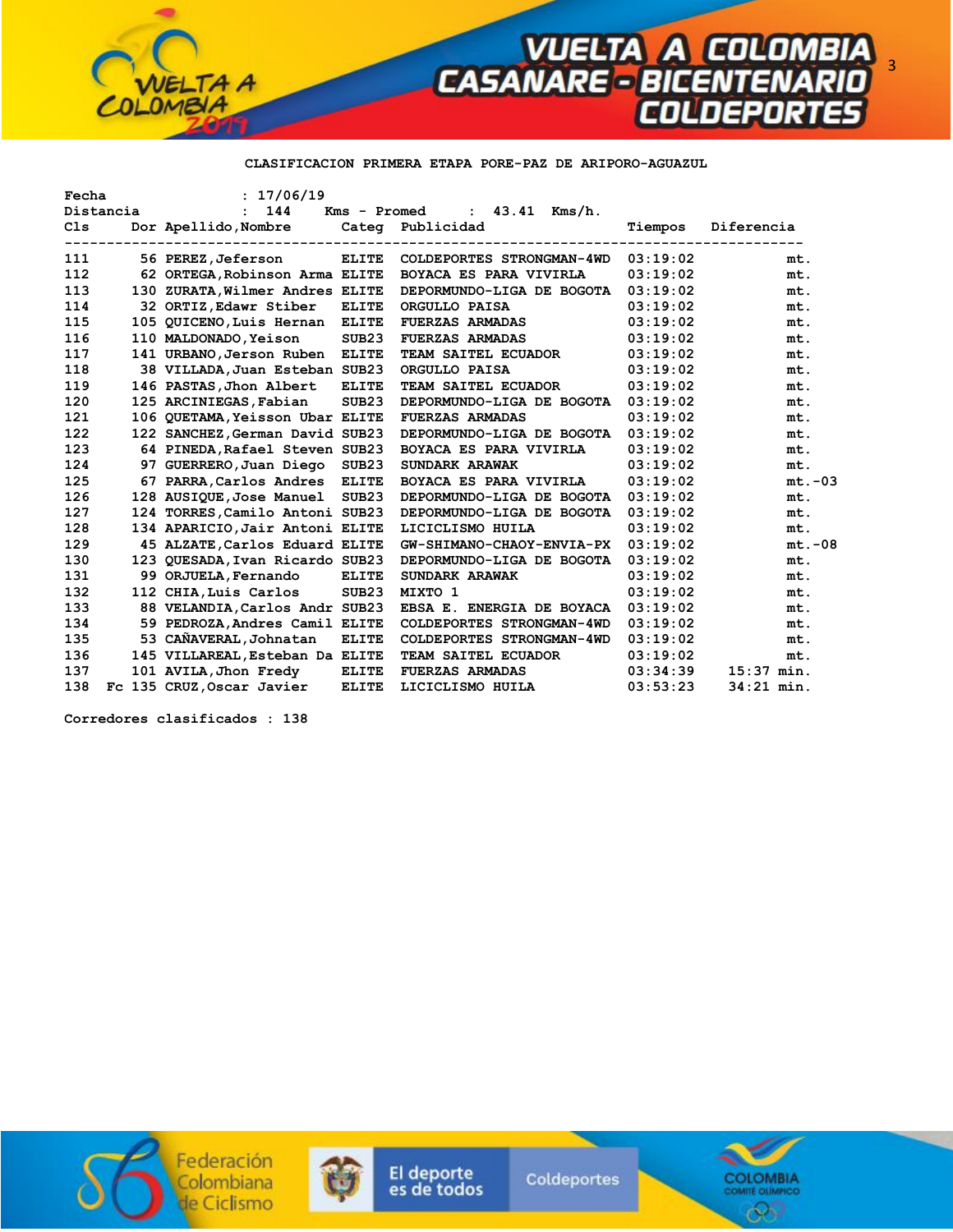

## **CLASIFICACION PRIMERA ETAPA PORE-PAZ DE ARIPORO-AGUAZUL**

| Fecha |           | : 17/06/19                            |                   |                                  |          |              |
|-------|-----------|---------------------------------------|-------------------|----------------------------------|----------|--------------|
|       | Distancia | 144<br>$\mathbf{r}$                   |                   | Kms - Promed<br>: $43.41$ Kms/h. |          |              |
| C1s   |           | Dor Apellido, Nombre Categ Publicidad |                   |                                  | Tiempos  | Diferencia   |
| 111   |           | 56 PEREZ,Jeferson                     | <b>ELITE</b>      | COLDEPORTES STRONGMAN-4WD        | 03:19:02 | mt.          |
| 112   |           | 62 ORTEGA, Robinson Arma ELITE        |                   | <b>BOYACA ES PARA VIVIRLA</b>    | 03:19:02 | mt.          |
| 113   |           | 130 ZURATA, Wilmer Andres ELITE       |                   | DEPORMUNDO-LIGA DE BOGOTA        | 03:19:02 | mt.          |
| 114   |           | 32 ORTIZ, Edawr Stiber                | <b>ELITE</b>      | ORGULLO PAISA                    | 03:19:02 | mt.          |
| 115   |           | 105 QUICENO, Luis Hernan ELITE        |                   | <b>FUERZAS ARMADAS</b>           | 03:19:02 | mt.          |
| 116   |           | 110 MALDONADO, Yeison                 | SUB <sub>23</sub> | <b>FUERZAS ARMADAS</b>           | 03:19:02 | mt.          |
| 117   |           | 141 URBANO, Jerson Ruben              | <b>ELITE</b>      | <b>TEAM SAITEL ECUADOR</b>       | 03:19:02 | mt.          |
| 118   |           | 38 VILLADA, Juan Esteban SUB23        |                   | ORGULLO PAISA                    | 03:19:02 | mt.          |
| 119   |           | 146 PASTAS, Jhon Albert               | <b>ELITE</b>      | TEAM SAITEL ECUADOR              | 03:19:02 | mt.          |
| 120   |           | 125 ARCINIEGAS, Fabian                | SUB <sub>23</sub> | DEPORMUNDO-LIGA DE BOGOTA        | 03:19:02 | mt.          |
| 121   |           | 106 QUETAMA, Yeisson Ubar ELITE       |                   | <b>FUERZAS ARMADAS</b>           | 03:19:02 | mt.          |
| 122   |           | 122 SANCHEZ, German David SUB23       |                   | DEPORMUNDO-LIGA DE BOGOTA        | 03:19:02 | mt.          |
| 123   |           | 64 PINEDA, Rafael Steven SUB23        |                   | BOYACA ES PARA VIVIRLA           | 03:19:02 | mt.          |
| 124   |           | 97 GUERRERO, Juan Diego SUB23         |                   | SUNDARK ARAWAK                   | 03:19:02 | mt.          |
| 125   |           | 67 PARRA, Carlos Andres ELITE         |                   | BOYACA ES PARA VIVIRLA           | 03:19:02 | $mt.-03$     |
| 126   |           | 128 AUSIQUE,Jose Manuel               | SUB23             | DEPORMUNDO-LIGA DE BOGOTA        | 03:19:02 | mt.          |
| 127   |           | 124 TORRES, Camilo Antoni SUB23       |                   | DEPORMUNDO-LIGA DE BOGOTA        | 03:19:02 | mt.          |
| 128   |           | 134 APARICIO, Jair Antoni ELITE       |                   | LICICLISMO HUILA                 | 03:19:02 | mt.          |
| 129   |           | 45 ALZATE, Carlos Eduard ELITE        |                   | GW-SHIMANO-CHAOY-ENVIA-PX        | 03:19:02 | $mt.-08$     |
| 130   |           | 123 QUESADA, Ivan Ricardo SUB23       |                   | DEPORMUNDO-LIGA DE BOGOTA        | 03:19:02 | mt.          |
| 131   |           | 99 ORJUELA, Fernando                  | <b>ELITE</b>      | SUNDARK ARAWAK                   | 03:19:02 | mt.          |
| 132   |           | 112 CHIA, Luis Carlos                 | SUB <sub>23</sub> | MIXTO 1                          | 03:19:02 | mt.          |
| 133   |           | 88 VELANDIA, Carlos Andr SUB23        |                   | EBSA E. ENERGIA DE BOYACA        | 03:19:02 | mt.          |
| 134   |           | 59 PEDROZA, Andres Camil ELITE        |                   | COLDEPORTES STRONGMAN-4WD        | 03:19:02 | mt.          |
| 135   |           | 53 CAÑAVERAL, Johnatan                | <b>ELITE</b>      | COLDEPORTES STRONGMAN-4WD        | 03:19:02 | mt.          |
| 136   |           | 145 VILLAREAL, Esteban Da ELITE       |                   | TEAM SAITEL ECUADOR              | 03:19:02 | mt.          |
| 137   |           | 101 AVILA, Jhon Fredy                 | <b>ELITE</b>      | <b>FUERZAS ARMADAS</b>           | 03:34:39 | $15:37$ min. |
| 138   |           | Fc 135 CRUZ, Oscar Javier             | <b>ELITE</b>      | LICICLISMO HUILA                 | 03:53:23 | $34:21$ min. |

 **Corredores clasificados : 138** 





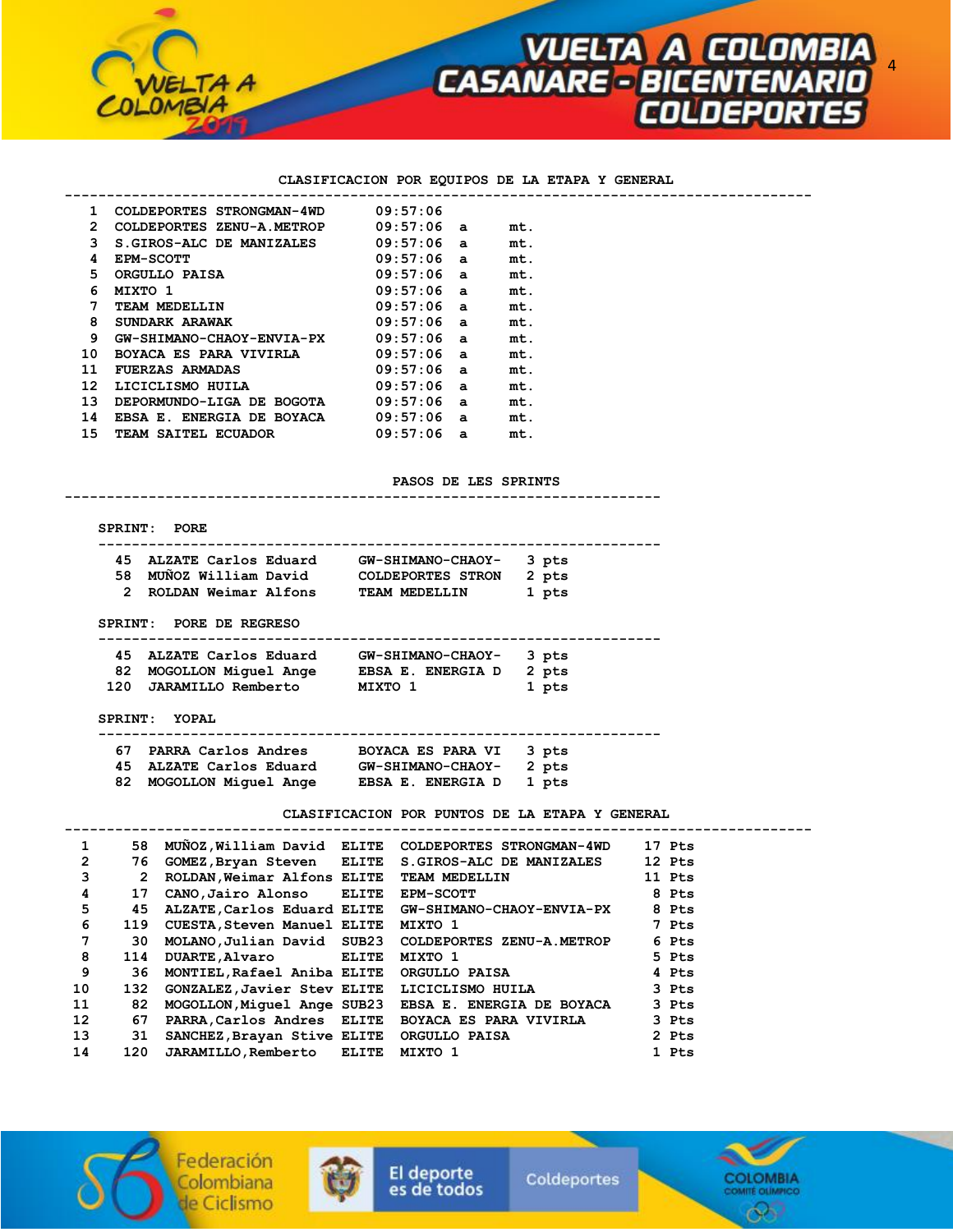

#### **CLASIFICACION POR EQUIPOS DE LA ETAPA Y GENERAL**

 **-----------------------------------------------------------------------------------------** 

| 1                     | COLDEPORTES STRONGMAN-4WD        | 09:57:06 |                |     |
|-----------------------|----------------------------------|----------|----------------|-----|
| $\mathbf{2}^{\prime}$ | COLDEPORTES ZENU-A.METROP        | 09:57:06 | a              | mt. |
| 3                     | S.GIROS-ALC DE MANIZALES         | 09:57:06 | a              | mt. |
| 4                     | <b>EPM-SCOTT</b>                 | 09:57:06 | a              | mt. |
| 5.                    | ORGULLO PAISA                    | 09:57:06 | a              | mt. |
| 6                     | MIXTO 1                          | 09:57:06 | a              | mt. |
| 7                     | TEAM MEDELLIN                    | 09:57:06 | a              | mt. |
| 8                     | SUNDARK ARAWAK                   | 09:57:06 | $\overline{a}$ | mt. |
| 9                     | <b>GW-SHIMANO-CHAOY-ENVIA-PX</b> | 09:57:06 | a              | mt. |
| 10                    | <b>BOYACA ES PARA VIVIRLA</b>    | 09:57:06 | a              | mt. |
| 11                    | <b>FUERZAS ARMADAS</b>           | 09:57:06 | a              | mt. |
| 12 <sup>2</sup>       | LICICLISMO HUILA                 | 09:57:06 | a              | mt. |
| 13                    | DEPORMUNDO-LIGA DE BOGOTA        | 09:57:06 | a              | mt. |
| 14                    | EBSA E. ENERGIA DE BOYACA        | 09:57:06 | a              | mt. |
| 15                    | <b>TEAM SAITEL ECUADOR</b>       | 09:57:06 | a              | mt. |

**PASOS DE LES SPRINTS** 

 **SPRINT: PORE** 

|  | 45 ALZATE Carlos Eduard | GW-SHIMANO-CHAOY- 3 pts |  |
|--|-------------------------|-------------------------|--|
|  | 58 MUÑOZ William David  | COLDEPORTES STRON 2 pts |  |

 **-----------------------------------------------------------------------** 

| -- |                        | <u> 88888888888888888</u> | - - - |
|----|------------------------|---------------------------|-------|
|    | 2 ROLDAN Weimar Alfons | TEAM MEDELLIN             | 1 pts |

 **SPRINT: PORE DE REGRESO** 

| 45 ALZATE Carlos Eduard | GW-SHIMANO-CHAOY- 3 pts |       |
|-------------------------|-------------------------|-------|
| 82 MOGOLLON Miquel Ange | EBSA E. ENERGIA D 2 pts |       |
| 120 JARAMILLO Remberto  | MIXTO 1                 | 1 pts |

 **SPRINT: YOPAL** 

 **------------------------------------------------------------------- 67 PARRA Carlos Andres BOYACA ES PARA VI 3 pts 45 ALZATE Carlos Eduard GW-SHIMANO-CHAOY- 2 pts 82 MOGOLLON Miguel Ange EBSA E. ENERGIA D 1 pts** 

**CLASIFICACION POR PUNTOS DE LA ETAPA Y GENERAL** 

| 1               | 58  |                                              | MUNOZ, William David ELITE COLDEPORTES STRONGMAN-4WD     | 17 Pts |
|-----------------|-----|----------------------------------------------|----------------------------------------------------------|--------|
| $\overline{2}$  | 76  |                                              | GOMEZ,Bryan Steven ELITE S.GIROS-ALC DE MANIZALES        | 12 Pts |
| 3               | 2   | ROLDAN, Weimar Alfons ELITE TEAM MEDELLIN    |                                                          | 11 Pts |
| 4               | 17  | CANO, Jairo Alonso ELITE EPM-SCOTT           |                                                          | 8 Pts  |
| 5               | 45  |                                              | ALZATE, Carlos Eduard ELITE    GW-SHIMANO-CHAOY-ENVIA-PX | 8 Pts  |
| 6               | 119 | CUESTA, Steven Manuel ELITE MIXTO 1          |                                                          | 7 Pts  |
| 7               | 30  |                                              | MOLANO, Julian David SUB23 COLDEPORTES ZENU-A.METROP     | 6 Pts  |
| 8               | 114 | DUARTE, Alvaro ELITE MIXTO 1                 |                                                          | 5 Pts  |
| 9               | 36  | MONTIEL,Rafael Aniba ELITE ORGULLO PAISA     |                                                          | 4 Pts  |
| 10              | 132 | GONZALEZ, Javier Stev ELITE LICICLISMO HUILA |                                                          | 3 Pts  |
| 11              | 82  |                                              | MOGOLLON, Miquel Ange SUB23 EBSA E. ENERGIA DE BOYACA    | 3 Pts  |
| 12 <sup>°</sup> | 67  |                                              | PARRA, Carlos Andres ELITE BOYACA ES PARA VIVIRLA        | 3 Pts  |
| 13              | 31  | SANCHEZ, Brayan Stive ELITE ORGULLO PAISA    |                                                          | 2 Pts  |
| 14              | 120 | JARAMILLO, Remberto ELITE MIXTO 1            |                                                          | 1 Pts  |

El deporte

es de todos





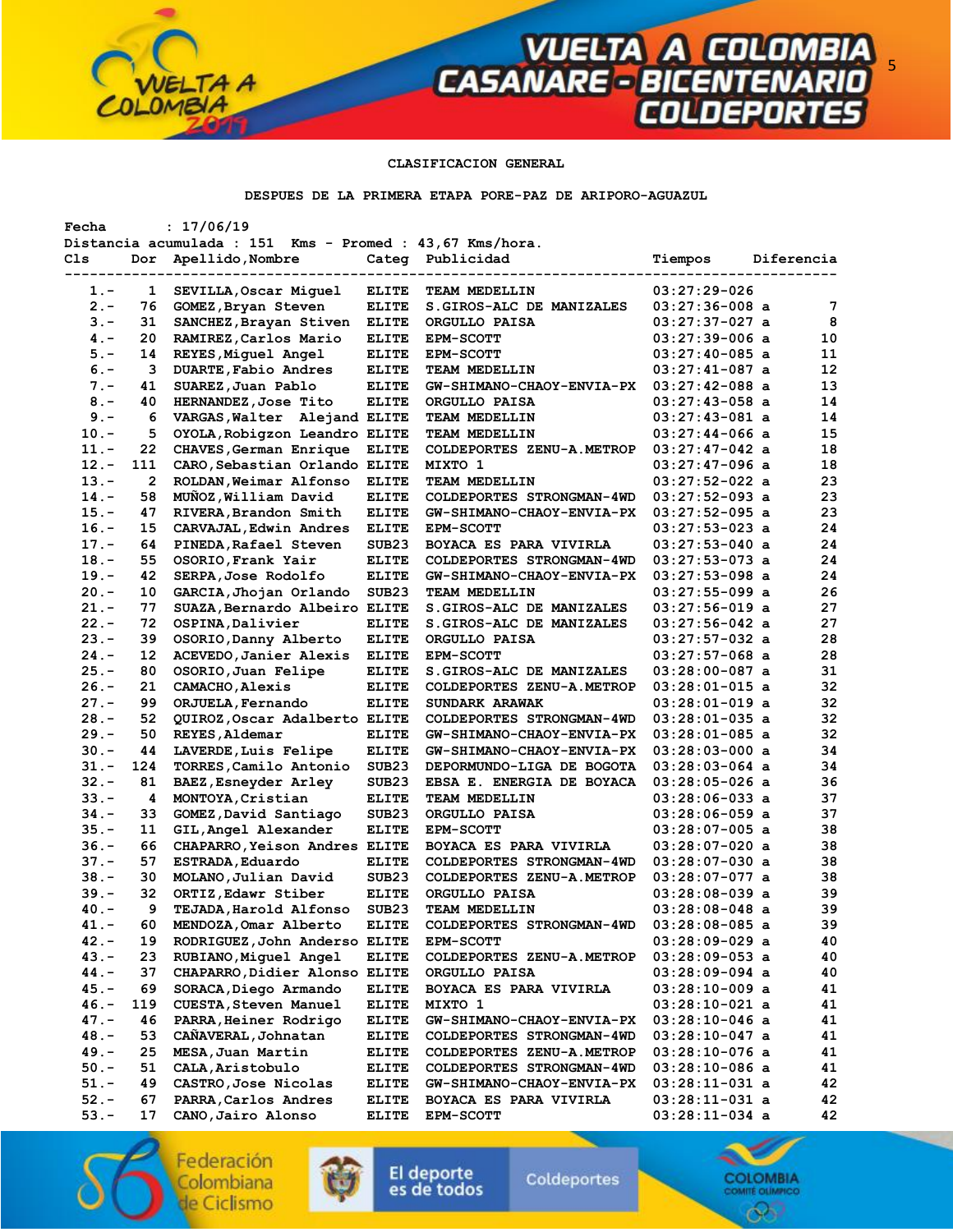### **CLASIFICACION GENERAL**

**VUELTA A COLOMBIA<br>CASANARE - BICENTENARIO<br>COLDEPORTES** 

**DESPUES DE LA PRIMERA ETAPA PORE-PAZ DE ARIPORO-AGUAZUL** 

| Distancia acumulada : 151 Kms - Promed : 43,67 Kms/hora.<br>Cls<br>Apellido, Nombre<br>Categ Publicidad<br>Dor<br>Tiempos<br>Diferencia<br>$03:27:29-026$<br><b>ELITE</b><br>$1 -$<br>1<br>SEVILLA, Oscar Miguel<br>TEAM MEDELLIN<br>$2 -$<br>76<br>S. GIROS-ALC DE MANIZALES<br>$03:27:36-008$ a<br>7<br>GOMEZ, Bryan Steven<br>ELITE<br>8<br>$3 -$<br>31<br>SANCHEZ, Brayan Stiven<br>$03:27:37-027$ a<br><b>ELITE</b><br>ORGULLO PAISA<br>$4 -$<br>20<br>RAMIREZ, Carlos Mario<br>$03:27:39-006$ a<br>10<br>ELITE<br><b>EPM-SCOTT</b><br>11<br>$5. -$<br>14<br><b>REYES, Miguel Angel</b><br><b>ELITE</b><br><b>EPM-SCOTT</b><br>$03:27:40-085$ a<br>12<br>$6. -$<br>3<br>DUARTE, Fabio Andres<br>$03:27:41-087$ a<br><b>ELITE</b><br>TEAM MEDELLIN<br>13<br>41<br>SUAREZ, Juan Pablo<br>$03:27:42-088$ a<br>$7 -$<br>ELITE<br><b>GW-SHIMANO-CHAOY-ENVIA-PX</b><br>14<br>$8. -$<br>40<br>HERNANDEZ, Jose Tito<br><b>ELITE</b><br>ORGULLO PAISA<br>$03:27:43-058$ a<br>$9. -$<br>$03:27:43-081$ a<br>14<br>6<br>VARGAS, Walter Alejand ELITE<br>TEAM MEDELLIN<br>15<br>5<br>OYOLA, Robigzon Leandro ELITE<br>$03:27:44-066$ a<br>$10. -$<br>TEAM MEDELLIN<br>$11. -$<br>22<br>CHAVES, German Enrique<br><b>ELITE</b><br>COLDEPORTES ZENU-A.METROP<br>$03:27:47-042$ a<br>18<br>$12 -$<br>111<br>CARO, Sebastian Orlando ELITE<br>MIXTO 1<br>$03:27:47-096$ a<br>18<br>23<br>$13 -$<br>2<br>ROLDAN, Weimar Alfonso<br>$03:27:52-022$ a<br><b>ELITE</b><br>TEAM MEDELLIN<br>23<br>$14. -$<br>58<br>MUNOZ, William David<br><b>ELITE</b><br>COLDEPORTES STRONGMAN-4WD<br>$03:27:52-093$ a<br>23<br>$15. -$<br>47<br>RIVERA, Brandon Smith<br><b>ELITE</b><br>GW-SHIMANO-CHAOY-ENVIA-PX<br>$03:27:52-095$ a<br>24<br>$16. -$<br>15<br>CARVAJAL, Edwin Andres<br><b>ELITE</b><br>03:27:53-023 a<br>EPM-SCOTT<br>24<br>$17. -$<br>64<br>PINEDA, Rafael Steven<br>SUB <sub>23</sub><br>$03:27:53-040$ a<br>BOYACA ES PARA VIVIRLA<br>24<br>$18. -$<br>55<br>OSORIO, Frank Yair<br>$03:27:53-073$ a<br><b>ELITE</b><br>COLDEPORTES STRONGMAN-4WD<br>42<br>24<br>$19. -$<br>SERPA, Jose Rodolfo<br><b>ELITE</b><br>$03:27:53-098$ a<br>GW-SHIMANO-CHAOY-ENVIA-PX<br>26<br>$20 -$<br>10<br>GARCIA, Jhojan Orlando<br>SUB <sub>23</sub><br>TEAM MEDELLIN<br>$03:27:55-099$ a<br>$21 -$<br>77<br>27<br>SUAZA, Bernardo Albeiro ELITE<br>S.GIROS-ALC DE MANIZALES<br>$03:27:56-019$ a<br>27<br>$22 -$<br>72<br>OSPINA, Dalivier<br>S. GIROS-ALC DE MANIZALES<br>$03:27:56-042$ a<br>ELITE<br>28<br>$23 -$<br>39<br>OSORIO, Danny Alberto<br>$03:27:57-032$ a<br><b>ELITE</b><br>ORGULLO PAISA<br>28<br>$24. -$<br>12<br>ACEVEDO, Janier Alexis<br><b>ELITE</b><br>$03:27:57-068$ a<br><b>EPM-SCOTT</b><br>$25. -$<br>80<br>OSORIO, Juan Felipe<br>31<br>ELITE<br>S.GIROS-ALC DE MANIZALES<br>03:28:00-087 a<br>32<br>$26. -$<br>21<br>CAMACHO, Alexis<br>COLDEPORTES ZENU-A.METROP<br><b>ELITE</b><br>$03:28:01-015$ a<br>32<br>$27 -$<br>99<br>ORJUELA, Fernando<br><b>ELITE</b><br>SUNDARK ARAWAK<br>$03:28:01-019$ a<br>32<br>$28 -$<br>52<br>QUIROZ, Oscar Adalberto ELITE<br>$03:28:01-035$ a<br>COLDEPORTES STRONGMAN-4WD<br>32<br>$29. -$<br>50<br>REYES, Aldemar<br><b>ELITE</b><br>GW-SHIMANO-CHAOY-ENVIA-PX<br>$03:28:01-085$ a<br>34<br>$30 -$<br>44<br>LAVERDE, Luis Felipe<br>ELITE<br>GW-SHIMANO-CHAOY-ENVIA-PX<br>$03:28:03-000$ a<br>$31 -$<br>124<br>34<br>TORRES, Camilo Antonio<br>SUB23<br>DEPORMUNDO-LIGA DE BOGOTA<br>$03:28:03-064$ a<br>$32 -$<br>81<br>BAEZ, Esneyder Arley<br>SUB <sub>23</sub><br>$03:28:05-026$ a<br>36<br>EBSA E. ENERGIA DE BOYACA<br>37<br>$33 -$<br>MONTOYA, Cristian<br>4<br><b>ELITE</b><br>TEAM MEDELLIN<br>$03:28:06-033$ a<br>37<br>$34. -$<br>33<br>SUB <sub>23</sub><br>GOMEZ, David Santiago<br>ORGULLO PAISA<br>$03:28:06-059$ a<br>$35 -$<br>11<br>38<br>GIL, Angel Alexander<br><b>ELITE</b><br><b>EPM-SCOTT</b><br>$03:28:07-005$ a<br>66<br>38<br>$36. -$<br>CHAPARRO, Yeison Andres ELITE<br>BOYACA ES PARA VIVIRLA<br>03:28:07-020 a<br>38<br>$37 -$<br>57<br>ESTRADA, Eduardo<br><b>ELITE</b><br>$03:28:07-030$ a<br>COLDEPORTES STRONGMAN-4WD<br>38<br>$38 -$<br>30<br>MOLANO, Julian David<br>SUB <sub>23</sub><br>$03:28:07-077$ a<br>COLDEPORTES ZENU-A.METROP<br>39<br>$39. -$<br>32<br>ORTIZ, Edawr Stiber<br><b>ELITE</b><br>ORGULLO PAISA<br>$03:28:08-039$ a<br>39<br>- 9<br>SUB23<br>$40. -$<br>TEJADA, Harold Alfonso<br>TEAM MEDELLIN<br>$03:28:08-048$ a<br>39<br>MENDOZA, Omar Alberto<br>03:28:08-085 a<br>41.-<br>60<br><b>ELITE</b><br>COLDEPORTES STRONGMAN-4WD<br>$42 -$<br>19<br>RODRIGUEZ, John Anderso ELITE<br>$03:28:09-029$ a<br>40<br><b>EPM-SCOTT</b><br>40<br>43.-<br>23<br>RUBIANO, Miquel Angel<br>$03:28:09-053$ a<br><b>ELITE</b><br>COLDEPORTES ZENU-A.METROP<br>44.-<br>37<br>CHAPARRO, Didier Alonso ELITE<br>$03:28:09-094$ a<br>40<br>ORGULLO PAISA<br>69<br>45.-<br>SORACA, Diego Armando<br>41<br><b>ELITE</b><br>BOYACA ES PARA VIVIRLA<br>03:28:10-009 a<br>46.-<br>119<br>CUESTA, Steven Manuel<br>41<br><b>ELITE</b><br>03:28:10-021 a<br>MIXTO 1<br>$47. -$<br>PARRA, Heiner Rodrigo<br>41<br>46<br><b>ELITE</b><br>GW-SHIMANO-CHAOY-ENVIA-PX<br>$03:28:10-046$ a<br>CAÑAVERAL, Johnatan<br>48.-<br>53<br>$03:28:10-047$ a<br>41<br><b>ELITE</b><br>COLDEPORTES STRONGMAN-4WD<br>$49. -$<br>25<br>MESA, Juan Martin<br>ELITE<br>COLDEPORTES ZENU-A.METROP<br>$03:28:10-076$ a<br>41<br>$50. -$<br>51<br>CALA, Aristobulo<br>$03:28:10-086$ a<br>41<br><b>ELITE</b><br>COLDEPORTES STRONGMAN-4WD<br>$51. -$<br>49<br>CASTRO, Jose Nicolas<br>$03:28:11-031$ a<br>42<br><b>ELITE</b><br>GW-SHIMANO-CHAOY-ENVIA-PX<br>$52 -$<br>67<br>PARRA, Carlos Andres<br>42<br><b>ELITE</b><br>BOYACA ES PARA VIVIRLA<br>$03:28:11-031$ a<br>03:28:11-034 a | Fecha   |    | : 17/06/19         |              |                  |  |    |
|------------------------------------------------------------------------------------------------------------------------------------------------------------------------------------------------------------------------------------------------------------------------------------------------------------------------------------------------------------------------------------------------------------------------------------------------------------------------------------------------------------------------------------------------------------------------------------------------------------------------------------------------------------------------------------------------------------------------------------------------------------------------------------------------------------------------------------------------------------------------------------------------------------------------------------------------------------------------------------------------------------------------------------------------------------------------------------------------------------------------------------------------------------------------------------------------------------------------------------------------------------------------------------------------------------------------------------------------------------------------------------------------------------------------------------------------------------------------------------------------------------------------------------------------------------------------------------------------------------------------------------------------------------------------------------------------------------------------------------------------------------------------------------------------------------------------------------------------------------------------------------------------------------------------------------------------------------------------------------------------------------------------------------------------------------------------------------------------------------------------------------------------------------------------------------------------------------------------------------------------------------------------------------------------------------------------------------------------------------------------------------------------------------------------------------------------------------------------------------------------------------------------------------------------------------------------------------------------------------------------------------------------------------------------------------------------------------------------------------------------------------------------------------------------------------------------------------------------------------------------------------------------------------------------------------------------------------------------------------------------------------------------------------------------------------------------------------------------------------------------------------------------------------------------------------------------------------------------------------------------------------------------------------------------------------------------------------------------------------------------------------------------------------------------------------------------------------------------------------------------------------------------------------------------------------------------------------------------------------------------------------------------------------------------------------------------------------------------------------------------------------------------------------------------------------------------------------------------------------------------------------------------------------------------------------------------------------------------------------------------------------------------------------------------------------------------------------------------------------------------------------------------------------------------------------------------------------------------------------------------------------------------------------------------------------------------------------------------------------------------------------------------------------------------------------------------------------------------------------------------------------------------------------------------------------------------------------------------------------------------------------------------------------------------------------------------------------------------------------------------------------------------------------------------------------------------------------------------------------------------------------------------------------------------------------------------------------------------------------------------------------------------------------------------------------------------------------------------------------------------------------------------------------------------------------------------------------------------------------------------------------------------------------------------------------------------------------------------------------------------------------------------------------------------------------------------------------------------------------------------------------------------------------------------------------------------------------------------------------------------------------------------------------------------------------------------------------------------------------------------|---------|----|--------------------|--------------|------------------|--|----|
|                                                                                                                                                                                                                                                                                                                                                                                                                                                                                                                                                                                                                                                                                                                                                                                                                                                                                                                                                                                                                                                                                                                                                                                                                                                                                                                                                                                                                                                                                                                                                                                                                                                                                                                                                                                                                                                                                                                                                                                                                                                                                                                                                                                                                                                                                                                                                                                                                                                                                                                                                                                                                                                                                                                                                                                                                                                                                                                                                                                                                                                                                                                                                                                                                                                                                                                                                                                                                                                                                                                                                                                                                                                                                                                                                                                                                                                                                                                                                                                                                                                                                                                                                                                                                                                                                                                                                                                                                                                                                                                                                                                                                                                                                                                                                                                                                                                                                                                                                                                                                                                                                                                                                                                                                                                                                                                                                                                                                                                                                                                                                                                                                                                                                                                                                |         |    |                    |              |                  |  |    |
|                                                                                                                                                                                                                                                                                                                                                                                                                                                                                                                                                                                                                                                                                                                                                                                                                                                                                                                                                                                                                                                                                                                                                                                                                                                                                                                                                                                                                                                                                                                                                                                                                                                                                                                                                                                                                                                                                                                                                                                                                                                                                                                                                                                                                                                                                                                                                                                                                                                                                                                                                                                                                                                                                                                                                                                                                                                                                                                                                                                                                                                                                                                                                                                                                                                                                                                                                                                                                                                                                                                                                                                                                                                                                                                                                                                                                                                                                                                                                                                                                                                                                                                                                                                                                                                                                                                                                                                                                                                                                                                                                                                                                                                                                                                                                                                                                                                                                                                                                                                                                                                                                                                                                                                                                                                                                                                                                                                                                                                                                                                                                                                                                                                                                                                                                |         |    |                    |              |                  |  |    |
|                                                                                                                                                                                                                                                                                                                                                                                                                                                                                                                                                                                                                                                                                                                                                                                                                                                                                                                                                                                                                                                                                                                                                                                                                                                                                                                                                                                                                                                                                                                                                                                                                                                                                                                                                                                                                                                                                                                                                                                                                                                                                                                                                                                                                                                                                                                                                                                                                                                                                                                                                                                                                                                                                                                                                                                                                                                                                                                                                                                                                                                                                                                                                                                                                                                                                                                                                                                                                                                                                                                                                                                                                                                                                                                                                                                                                                                                                                                                                                                                                                                                                                                                                                                                                                                                                                                                                                                                                                                                                                                                                                                                                                                                                                                                                                                                                                                                                                                                                                                                                                                                                                                                                                                                                                                                                                                                                                                                                                                                                                                                                                                                                                                                                                                                                |         |    |                    |              |                  |  |    |
|                                                                                                                                                                                                                                                                                                                                                                                                                                                                                                                                                                                                                                                                                                                                                                                                                                                                                                                                                                                                                                                                                                                                                                                                                                                                                                                                                                                                                                                                                                                                                                                                                                                                                                                                                                                                                                                                                                                                                                                                                                                                                                                                                                                                                                                                                                                                                                                                                                                                                                                                                                                                                                                                                                                                                                                                                                                                                                                                                                                                                                                                                                                                                                                                                                                                                                                                                                                                                                                                                                                                                                                                                                                                                                                                                                                                                                                                                                                                                                                                                                                                                                                                                                                                                                                                                                                                                                                                                                                                                                                                                                                                                                                                                                                                                                                                                                                                                                                                                                                                                                                                                                                                                                                                                                                                                                                                                                                                                                                                                                                                                                                                                                                                                                                                                |         |    |                    |              |                  |  |    |
|                                                                                                                                                                                                                                                                                                                                                                                                                                                                                                                                                                                                                                                                                                                                                                                                                                                                                                                                                                                                                                                                                                                                                                                                                                                                                                                                                                                                                                                                                                                                                                                                                                                                                                                                                                                                                                                                                                                                                                                                                                                                                                                                                                                                                                                                                                                                                                                                                                                                                                                                                                                                                                                                                                                                                                                                                                                                                                                                                                                                                                                                                                                                                                                                                                                                                                                                                                                                                                                                                                                                                                                                                                                                                                                                                                                                                                                                                                                                                                                                                                                                                                                                                                                                                                                                                                                                                                                                                                                                                                                                                                                                                                                                                                                                                                                                                                                                                                                                                                                                                                                                                                                                                                                                                                                                                                                                                                                                                                                                                                                                                                                                                                                                                                                                                |         |    |                    |              |                  |  |    |
|                                                                                                                                                                                                                                                                                                                                                                                                                                                                                                                                                                                                                                                                                                                                                                                                                                                                                                                                                                                                                                                                                                                                                                                                                                                                                                                                                                                                                                                                                                                                                                                                                                                                                                                                                                                                                                                                                                                                                                                                                                                                                                                                                                                                                                                                                                                                                                                                                                                                                                                                                                                                                                                                                                                                                                                                                                                                                                                                                                                                                                                                                                                                                                                                                                                                                                                                                                                                                                                                                                                                                                                                                                                                                                                                                                                                                                                                                                                                                                                                                                                                                                                                                                                                                                                                                                                                                                                                                                                                                                                                                                                                                                                                                                                                                                                                                                                                                                                                                                                                                                                                                                                                                                                                                                                                                                                                                                                                                                                                                                                                                                                                                                                                                                                                                |         |    |                    |              |                  |  |    |
|                                                                                                                                                                                                                                                                                                                                                                                                                                                                                                                                                                                                                                                                                                                                                                                                                                                                                                                                                                                                                                                                                                                                                                                                                                                                                                                                                                                                                                                                                                                                                                                                                                                                                                                                                                                                                                                                                                                                                                                                                                                                                                                                                                                                                                                                                                                                                                                                                                                                                                                                                                                                                                                                                                                                                                                                                                                                                                                                                                                                                                                                                                                                                                                                                                                                                                                                                                                                                                                                                                                                                                                                                                                                                                                                                                                                                                                                                                                                                                                                                                                                                                                                                                                                                                                                                                                                                                                                                                                                                                                                                                                                                                                                                                                                                                                                                                                                                                                                                                                                                                                                                                                                                                                                                                                                                                                                                                                                                                                                                                                                                                                                                                                                                                                                                |         |    |                    |              |                  |  |    |
|                                                                                                                                                                                                                                                                                                                                                                                                                                                                                                                                                                                                                                                                                                                                                                                                                                                                                                                                                                                                                                                                                                                                                                                                                                                                                                                                                                                                                                                                                                                                                                                                                                                                                                                                                                                                                                                                                                                                                                                                                                                                                                                                                                                                                                                                                                                                                                                                                                                                                                                                                                                                                                                                                                                                                                                                                                                                                                                                                                                                                                                                                                                                                                                                                                                                                                                                                                                                                                                                                                                                                                                                                                                                                                                                                                                                                                                                                                                                                                                                                                                                                                                                                                                                                                                                                                                                                                                                                                                                                                                                                                                                                                                                                                                                                                                                                                                                                                                                                                                                                                                                                                                                                                                                                                                                                                                                                                                                                                                                                                                                                                                                                                                                                                                                                |         |    |                    |              |                  |  |    |
|                                                                                                                                                                                                                                                                                                                                                                                                                                                                                                                                                                                                                                                                                                                                                                                                                                                                                                                                                                                                                                                                                                                                                                                                                                                                                                                                                                                                                                                                                                                                                                                                                                                                                                                                                                                                                                                                                                                                                                                                                                                                                                                                                                                                                                                                                                                                                                                                                                                                                                                                                                                                                                                                                                                                                                                                                                                                                                                                                                                                                                                                                                                                                                                                                                                                                                                                                                                                                                                                                                                                                                                                                                                                                                                                                                                                                                                                                                                                                                                                                                                                                                                                                                                                                                                                                                                                                                                                                                                                                                                                                                                                                                                                                                                                                                                                                                                                                                                                                                                                                                                                                                                                                                                                                                                                                                                                                                                                                                                                                                                                                                                                                                                                                                                                                |         |    |                    |              |                  |  |    |
|                                                                                                                                                                                                                                                                                                                                                                                                                                                                                                                                                                                                                                                                                                                                                                                                                                                                                                                                                                                                                                                                                                                                                                                                                                                                                                                                                                                                                                                                                                                                                                                                                                                                                                                                                                                                                                                                                                                                                                                                                                                                                                                                                                                                                                                                                                                                                                                                                                                                                                                                                                                                                                                                                                                                                                                                                                                                                                                                                                                                                                                                                                                                                                                                                                                                                                                                                                                                                                                                                                                                                                                                                                                                                                                                                                                                                                                                                                                                                                                                                                                                                                                                                                                                                                                                                                                                                                                                                                                                                                                                                                                                                                                                                                                                                                                                                                                                                                                                                                                                                                                                                                                                                                                                                                                                                                                                                                                                                                                                                                                                                                                                                                                                                                                                                |         |    |                    |              |                  |  |    |
|                                                                                                                                                                                                                                                                                                                                                                                                                                                                                                                                                                                                                                                                                                                                                                                                                                                                                                                                                                                                                                                                                                                                                                                                                                                                                                                                                                                                                                                                                                                                                                                                                                                                                                                                                                                                                                                                                                                                                                                                                                                                                                                                                                                                                                                                                                                                                                                                                                                                                                                                                                                                                                                                                                                                                                                                                                                                                                                                                                                                                                                                                                                                                                                                                                                                                                                                                                                                                                                                                                                                                                                                                                                                                                                                                                                                                                                                                                                                                                                                                                                                                                                                                                                                                                                                                                                                                                                                                                                                                                                                                                                                                                                                                                                                                                                                                                                                                                                                                                                                                                                                                                                                                                                                                                                                                                                                                                                                                                                                                                                                                                                                                                                                                                                                                |         |    |                    |              |                  |  |    |
|                                                                                                                                                                                                                                                                                                                                                                                                                                                                                                                                                                                                                                                                                                                                                                                                                                                                                                                                                                                                                                                                                                                                                                                                                                                                                                                                                                                                                                                                                                                                                                                                                                                                                                                                                                                                                                                                                                                                                                                                                                                                                                                                                                                                                                                                                                                                                                                                                                                                                                                                                                                                                                                                                                                                                                                                                                                                                                                                                                                                                                                                                                                                                                                                                                                                                                                                                                                                                                                                                                                                                                                                                                                                                                                                                                                                                                                                                                                                                                                                                                                                                                                                                                                                                                                                                                                                                                                                                                                                                                                                                                                                                                                                                                                                                                                                                                                                                                                                                                                                                                                                                                                                                                                                                                                                                                                                                                                                                                                                                                                                                                                                                                                                                                                                                |         |    |                    |              |                  |  |    |
|                                                                                                                                                                                                                                                                                                                                                                                                                                                                                                                                                                                                                                                                                                                                                                                                                                                                                                                                                                                                                                                                                                                                                                                                                                                                                                                                                                                                                                                                                                                                                                                                                                                                                                                                                                                                                                                                                                                                                                                                                                                                                                                                                                                                                                                                                                                                                                                                                                                                                                                                                                                                                                                                                                                                                                                                                                                                                                                                                                                                                                                                                                                                                                                                                                                                                                                                                                                                                                                                                                                                                                                                                                                                                                                                                                                                                                                                                                                                                                                                                                                                                                                                                                                                                                                                                                                                                                                                                                                                                                                                                                                                                                                                                                                                                                                                                                                                                                                                                                                                                                                                                                                                                                                                                                                                                                                                                                                                                                                                                                                                                                                                                                                                                                                                                |         |    |                    |              |                  |  |    |
|                                                                                                                                                                                                                                                                                                                                                                                                                                                                                                                                                                                                                                                                                                                                                                                                                                                                                                                                                                                                                                                                                                                                                                                                                                                                                                                                                                                                                                                                                                                                                                                                                                                                                                                                                                                                                                                                                                                                                                                                                                                                                                                                                                                                                                                                                                                                                                                                                                                                                                                                                                                                                                                                                                                                                                                                                                                                                                                                                                                                                                                                                                                                                                                                                                                                                                                                                                                                                                                                                                                                                                                                                                                                                                                                                                                                                                                                                                                                                                                                                                                                                                                                                                                                                                                                                                                                                                                                                                                                                                                                                                                                                                                                                                                                                                                                                                                                                                                                                                                                                                                                                                                                                                                                                                                                                                                                                                                                                                                                                                                                                                                                                                                                                                                                                |         |    |                    |              |                  |  |    |
|                                                                                                                                                                                                                                                                                                                                                                                                                                                                                                                                                                                                                                                                                                                                                                                                                                                                                                                                                                                                                                                                                                                                                                                                                                                                                                                                                                                                                                                                                                                                                                                                                                                                                                                                                                                                                                                                                                                                                                                                                                                                                                                                                                                                                                                                                                                                                                                                                                                                                                                                                                                                                                                                                                                                                                                                                                                                                                                                                                                                                                                                                                                                                                                                                                                                                                                                                                                                                                                                                                                                                                                                                                                                                                                                                                                                                                                                                                                                                                                                                                                                                                                                                                                                                                                                                                                                                                                                                                                                                                                                                                                                                                                                                                                                                                                                                                                                                                                                                                                                                                                                                                                                                                                                                                                                                                                                                                                                                                                                                                                                                                                                                                                                                                                                                |         |    |                    |              |                  |  |    |
|                                                                                                                                                                                                                                                                                                                                                                                                                                                                                                                                                                                                                                                                                                                                                                                                                                                                                                                                                                                                                                                                                                                                                                                                                                                                                                                                                                                                                                                                                                                                                                                                                                                                                                                                                                                                                                                                                                                                                                                                                                                                                                                                                                                                                                                                                                                                                                                                                                                                                                                                                                                                                                                                                                                                                                                                                                                                                                                                                                                                                                                                                                                                                                                                                                                                                                                                                                                                                                                                                                                                                                                                                                                                                                                                                                                                                                                                                                                                                                                                                                                                                                                                                                                                                                                                                                                                                                                                                                                                                                                                                                                                                                                                                                                                                                                                                                                                                                                                                                                                                                                                                                                                                                                                                                                                                                                                                                                                                                                                                                                                                                                                                                                                                                                                                |         |    |                    |              |                  |  |    |
|                                                                                                                                                                                                                                                                                                                                                                                                                                                                                                                                                                                                                                                                                                                                                                                                                                                                                                                                                                                                                                                                                                                                                                                                                                                                                                                                                                                                                                                                                                                                                                                                                                                                                                                                                                                                                                                                                                                                                                                                                                                                                                                                                                                                                                                                                                                                                                                                                                                                                                                                                                                                                                                                                                                                                                                                                                                                                                                                                                                                                                                                                                                                                                                                                                                                                                                                                                                                                                                                                                                                                                                                                                                                                                                                                                                                                                                                                                                                                                                                                                                                                                                                                                                                                                                                                                                                                                                                                                                                                                                                                                                                                                                                                                                                                                                                                                                                                                                                                                                                                                                                                                                                                                                                                                                                                                                                                                                                                                                                                                                                                                                                                                                                                                                                                |         |    |                    |              |                  |  |    |
|                                                                                                                                                                                                                                                                                                                                                                                                                                                                                                                                                                                                                                                                                                                                                                                                                                                                                                                                                                                                                                                                                                                                                                                                                                                                                                                                                                                                                                                                                                                                                                                                                                                                                                                                                                                                                                                                                                                                                                                                                                                                                                                                                                                                                                                                                                                                                                                                                                                                                                                                                                                                                                                                                                                                                                                                                                                                                                                                                                                                                                                                                                                                                                                                                                                                                                                                                                                                                                                                                                                                                                                                                                                                                                                                                                                                                                                                                                                                                                                                                                                                                                                                                                                                                                                                                                                                                                                                                                                                                                                                                                                                                                                                                                                                                                                                                                                                                                                                                                                                                                                                                                                                                                                                                                                                                                                                                                                                                                                                                                                                                                                                                                                                                                                                                |         |    |                    |              |                  |  |    |
|                                                                                                                                                                                                                                                                                                                                                                                                                                                                                                                                                                                                                                                                                                                                                                                                                                                                                                                                                                                                                                                                                                                                                                                                                                                                                                                                                                                                                                                                                                                                                                                                                                                                                                                                                                                                                                                                                                                                                                                                                                                                                                                                                                                                                                                                                                                                                                                                                                                                                                                                                                                                                                                                                                                                                                                                                                                                                                                                                                                                                                                                                                                                                                                                                                                                                                                                                                                                                                                                                                                                                                                                                                                                                                                                                                                                                                                                                                                                                                                                                                                                                                                                                                                                                                                                                                                                                                                                                                                                                                                                                                                                                                                                                                                                                                                                                                                                                                                                                                                                                                                                                                                                                                                                                                                                                                                                                                                                                                                                                                                                                                                                                                                                                                                                                |         |    |                    |              |                  |  |    |
|                                                                                                                                                                                                                                                                                                                                                                                                                                                                                                                                                                                                                                                                                                                                                                                                                                                                                                                                                                                                                                                                                                                                                                                                                                                                                                                                                                                                                                                                                                                                                                                                                                                                                                                                                                                                                                                                                                                                                                                                                                                                                                                                                                                                                                                                                                                                                                                                                                                                                                                                                                                                                                                                                                                                                                                                                                                                                                                                                                                                                                                                                                                                                                                                                                                                                                                                                                                                                                                                                                                                                                                                                                                                                                                                                                                                                                                                                                                                                                                                                                                                                                                                                                                                                                                                                                                                                                                                                                                                                                                                                                                                                                                                                                                                                                                                                                                                                                                                                                                                                                                                                                                                                                                                                                                                                                                                                                                                                                                                                                                                                                                                                                                                                                                                                |         |    |                    |              |                  |  |    |
|                                                                                                                                                                                                                                                                                                                                                                                                                                                                                                                                                                                                                                                                                                                                                                                                                                                                                                                                                                                                                                                                                                                                                                                                                                                                                                                                                                                                                                                                                                                                                                                                                                                                                                                                                                                                                                                                                                                                                                                                                                                                                                                                                                                                                                                                                                                                                                                                                                                                                                                                                                                                                                                                                                                                                                                                                                                                                                                                                                                                                                                                                                                                                                                                                                                                                                                                                                                                                                                                                                                                                                                                                                                                                                                                                                                                                                                                                                                                                                                                                                                                                                                                                                                                                                                                                                                                                                                                                                                                                                                                                                                                                                                                                                                                                                                                                                                                                                                                                                                                                                                                                                                                                                                                                                                                                                                                                                                                                                                                                                                                                                                                                                                                                                                                                |         |    |                    |              |                  |  |    |
|                                                                                                                                                                                                                                                                                                                                                                                                                                                                                                                                                                                                                                                                                                                                                                                                                                                                                                                                                                                                                                                                                                                                                                                                                                                                                                                                                                                                                                                                                                                                                                                                                                                                                                                                                                                                                                                                                                                                                                                                                                                                                                                                                                                                                                                                                                                                                                                                                                                                                                                                                                                                                                                                                                                                                                                                                                                                                                                                                                                                                                                                                                                                                                                                                                                                                                                                                                                                                                                                                                                                                                                                                                                                                                                                                                                                                                                                                                                                                                                                                                                                                                                                                                                                                                                                                                                                                                                                                                                                                                                                                                                                                                                                                                                                                                                                                                                                                                                                                                                                                                                                                                                                                                                                                                                                                                                                                                                                                                                                                                                                                                                                                                                                                                                                                |         |    |                    |              |                  |  |    |
|                                                                                                                                                                                                                                                                                                                                                                                                                                                                                                                                                                                                                                                                                                                                                                                                                                                                                                                                                                                                                                                                                                                                                                                                                                                                                                                                                                                                                                                                                                                                                                                                                                                                                                                                                                                                                                                                                                                                                                                                                                                                                                                                                                                                                                                                                                                                                                                                                                                                                                                                                                                                                                                                                                                                                                                                                                                                                                                                                                                                                                                                                                                                                                                                                                                                                                                                                                                                                                                                                                                                                                                                                                                                                                                                                                                                                                                                                                                                                                                                                                                                                                                                                                                                                                                                                                                                                                                                                                                                                                                                                                                                                                                                                                                                                                                                                                                                                                                                                                                                                                                                                                                                                                                                                                                                                                                                                                                                                                                                                                                                                                                                                                                                                                                                                |         |    |                    |              |                  |  |    |
|                                                                                                                                                                                                                                                                                                                                                                                                                                                                                                                                                                                                                                                                                                                                                                                                                                                                                                                                                                                                                                                                                                                                                                                                                                                                                                                                                                                                                                                                                                                                                                                                                                                                                                                                                                                                                                                                                                                                                                                                                                                                                                                                                                                                                                                                                                                                                                                                                                                                                                                                                                                                                                                                                                                                                                                                                                                                                                                                                                                                                                                                                                                                                                                                                                                                                                                                                                                                                                                                                                                                                                                                                                                                                                                                                                                                                                                                                                                                                                                                                                                                                                                                                                                                                                                                                                                                                                                                                                                                                                                                                                                                                                                                                                                                                                                                                                                                                                                                                                                                                                                                                                                                                                                                                                                                                                                                                                                                                                                                                                                                                                                                                                                                                                                                                |         |    |                    |              |                  |  |    |
|                                                                                                                                                                                                                                                                                                                                                                                                                                                                                                                                                                                                                                                                                                                                                                                                                                                                                                                                                                                                                                                                                                                                                                                                                                                                                                                                                                                                                                                                                                                                                                                                                                                                                                                                                                                                                                                                                                                                                                                                                                                                                                                                                                                                                                                                                                                                                                                                                                                                                                                                                                                                                                                                                                                                                                                                                                                                                                                                                                                                                                                                                                                                                                                                                                                                                                                                                                                                                                                                                                                                                                                                                                                                                                                                                                                                                                                                                                                                                                                                                                                                                                                                                                                                                                                                                                                                                                                                                                                                                                                                                                                                                                                                                                                                                                                                                                                                                                                                                                                                                                                                                                                                                                                                                                                                                                                                                                                                                                                                                                                                                                                                                                                                                                                                                |         |    |                    |              |                  |  |    |
|                                                                                                                                                                                                                                                                                                                                                                                                                                                                                                                                                                                                                                                                                                                                                                                                                                                                                                                                                                                                                                                                                                                                                                                                                                                                                                                                                                                                                                                                                                                                                                                                                                                                                                                                                                                                                                                                                                                                                                                                                                                                                                                                                                                                                                                                                                                                                                                                                                                                                                                                                                                                                                                                                                                                                                                                                                                                                                                                                                                                                                                                                                                                                                                                                                                                                                                                                                                                                                                                                                                                                                                                                                                                                                                                                                                                                                                                                                                                                                                                                                                                                                                                                                                                                                                                                                                                                                                                                                                                                                                                                                                                                                                                                                                                                                                                                                                                                                                                                                                                                                                                                                                                                                                                                                                                                                                                                                                                                                                                                                                                                                                                                                                                                                                                                |         |    |                    |              |                  |  |    |
|                                                                                                                                                                                                                                                                                                                                                                                                                                                                                                                                                                                                                                                                                                                                                                                                                                                                                                                                                                                                                                                                                                                                                                                                                                                                                                                                                                                                                                                                                                                                                                                                                                                                                                                                                                                                                                                                                                                                                                                                                                                                                                                                                                                                                                                                                                                                                                                                                                                                                                                                                                                                                                                                                                                                                                                                                                                                                                                                                                                                                                                                                                                                                                                                                                                                                                                                                                                                                                                                                                                                                                                                                                                                                                                                                                                                                                                                                                                                                                                                                                                                                                                                                                                                                                                                                                                                                                                                                                                                                                                                                                                                                                                                                                                                                                                                                                                                                                                                                                                                                                                                                                                                                                                                                                                                                                                                                                                                                                                                                                                                                                                                                                                                                                                                                |         |    |                    |              |                  |  |    |
|                                                                                                                                                                                                                                                                                                                                                                                                                                                                                                                                                                                                                                                                                                                                                                                                                                                                                                                                                                                                                                                                                                                                                                                                                                                                                                                                                                                                                                                                                                                                                                                                                                                                                                                                                                                                                                                                                                                                                                                                                                                                                                                                                                                                                                                                                                                                                                                                                                                                                                                                                                                                                                                                                                                                                                                                                                                                                                                                                                                                                                                                                                                                                                                                                                                                                                                                                                                                                                                                                                                                                                                                                                                                                                                                                                                                                                                                                                                                                                                                                                                                                                                                                                                                                                                                                                                                                                                                                                                                                                                                                                                                                                                                                                                                                                                                                                                                                                                                                                                                                                                                                                                                                                                                                                                                                                                                                                                                                                                                                                                                                                                                                                                                                                                                                |         |    |                    |              |                  |  |    |
|                                                                                                                                                                                                                                                                                                                                                                                                                                                                                                                                                                                                                                                                                                                                                                                                                                                                                                                                                                                                                                                                                                                                                                                                                                                                                                                                                                                                                                                                                                                                                                                                                                                                                                                                                                                                                                                                                                                                                                                                                                                                                                                                                                                                                                                                                                                                                                                                                                                                                                                                                                                                                                                                                                                                                                                                                                                                                                                                                                                                                                                                                                                                                                                                                                                                                                                                                                                                                                                                                                                                                                                                                                                                                                                                                                                                                                                                                                                                                                                                                                                                                                                                                                                                                                                                                                                                                                                                                                                                                                                                                                                                                                                                                                                                                                                                                                                                                                                                                                                                                                                                                                                                                                                                                                                                                                                                                                                                                                                                                                                                                                                                                                                                                                                                                |         |    |                    |              |                  |  |    |
|                                                                                                                                                                                                                                                                                                                                                                                                                                                                                                                                                                                                                                                                                                                                                                                                                                                                                                                                                                                                                                                                                                                                                                                                                                                                                                                                                                                                                                                                                                                                                                                                                                                                                                                                                                                                                                                                                                                                                                                                                                                                                                                                                                                                                                                                                                                                                                                                                                                                                                                                                                                                                                                                                                                                                                                                                                                                                                                                                                                                                                                                                                                                                                                                                                                                                                                                                                                                                                                                                                                                                                                                                                                                                                                                                                                                                                                                                                                                                                                                                                                                                                                                                                                                                                                                                                                                                                                                                                                                                                                                                                                                                                                                                                                                                                                                                                                                                                                                                                                                                                                                                                                                                                                                                                                                                                                                                                                                                                                                                                                                                                                                                                                                                                                                                |         |    |                    |              |                  |  |    |
|                                                                                                                                                                                                                                                                                                                                                                                                                                                                                                                                                                                                                                                                                                                                                                                                                                                                                                                                                                                                                                                                                                                                                                                                                                                                                                                                                                                                                                                                                                                                                                                                                                                                                                                                                                                                                                                                                                                                                                                                                                                                                                                                                                                                                                                                                                                                                                                                                                                                                                                                                                                                                                                                                                                                                                                                                                                                                                                                                                                                                                                                                                                                                                                                                                                                                                                                                                                                                                                                                                                                                                                                                                                                                                                                                                                                                                                                                                                                                                                                                                                                                                                                                                                                                                                                                                                                                                                                                                                                                                                                                                                                                                                                                                                                                                                                                                                                                                                                                                                                                                                                                                                                                                                                                                                                                                                                                                                                                                                                                                                                                                                                                                                                                                                                                |         |    |                    |              |                  |  |    |
|                                                                                                                                                                                                                                                                                                                                                                                                                                                                                                                                                                                                                                                                                                                                                                                                                                                                                                                                                                                                                                                                                                                                                                                                                                                                                                                                                                                                                                                                                                                                                                                                                                                                                                                                                                                                                                                                                                                                                                                                                                                                                                                                                                                                                                                                                                                                                                                                                                                                                                                                                                                                                                                                                                                                                                                                                                                                                                                                                                                                                                                                                                                                                                                                                                                                                                                                                                                                                                                                                                                                                                                                                                                                                                                                                                                                                                                                                                                                                                                                                                                                                                                                                                                                                                                                                                                                                                                                                                                                                                                                                                                                                                                                                                                                                                                                                                                                                                                                                                                                                                                                                                                                                                                                                                                                                                                                                                                                                                                                                                                                                                                                                                                                                                                                                |         |    |                    |              |                  |  |    |
|                                                                                                                                                                                                                                                                                                                                                                                                                                                                                                                                                                                                                                                                                                                                                                                                                                                                                                                                                                                                                                                                                                                                                                                                                                                                                                                                                                                                                                                                                                                                                                                                                                                                                                                                                                                                                                                                                                                                                                                                                                                                                                                                                                                                                                                                                                                                                                                                                                                                                                                                                                                                                                                                                                                                                                                                                                                                                                                                                                                                                                                                                                                                                                                                                                                                                                                                                                                                                                                                                                                                                                                                                                                                                                                                                                                                                                                                                                                                                                                                                                                                                                                                                                                                                                                                                                                                                                                                                                                                                                                                                                                                                                                                                                                                                                                                                                                                                                                                                                                                                                                                                                                                                                                                                                                                                                                                                                                                                                                                                                                                                                                                                                                                                                                                                |         |    |                    |              |                  |  |    |
|                                                                                                                                                                                                                                                                                                                                                                                                                                                                                                                                                                                                                                                                                                                                                                                                                                                                                                                                                                                                                                                                                                                                                                                                                                                                                                                                                                                                                                                                                                                                                                                                                                                                                                                                                                                                                                                                                                                                                                                                                                                                                                                                                                                                                                                                                                                                                                                                                                                                                                                                                                                                                                                                                                                                                                                                                                                                                                                                                                                                                                                                                                                                                                                                                                                                                                                                                                                                                                                                                                                                                                                                                                                                                                                                                                                                                                                                                                                                                                                                                                                                                                                                                                                                                                                                                                                                                                                                                                                                                                                                                                                                                                                                                                                                                                                                                                                                                                                                                                                                                                                                                                                                                                                                                                                                                                                                                                                                                                                                                                                                                                                                                                                                                                                                                |         |    |                    |              |                  |  |    |
|                                                                                                                                                                                                                                                                                                                                                                                                                                                                                                                                                                                                                                                                                                                                                                                                                                                                                                                                                                                                                                                                                                                                                                                                                                                                                                                                                                                                                                                                                                                                                                                                                                                                                                                                                                                                                                                                                                                                                                                                                                                                                                                                                                                                                                                                                                                                                                                                                                                                                                                                                                                                                                                                                                                                                                                                                                                                                                                                                                                                                                                                                                                                                                                                                                                                                                                                                                                                                                                                                                                                                                                                                                                                                                                                                                                                                                                                                                                                                                                                                                                                                                                                                                                                                                                                                                                                                                                                                                                                                                                                                                                                                                                                                                                                                                                                                                                                                                                                                                                                                                                                                                                                                                                                                                                                                                                                                                                                                                                                                                                                                                                                                                                                                                                                                |         |    |                    |              |                  |  |    |
|                                                                                                                                                                                                                                                                                                                                                                                                                                                                                                                                                                                                                                                                                                                                                                                                                                                                                                                                                                                                                                                                                                                                                                                                                                                                                                                                                                                                                                                                                                                                                                                                                                                                                                                                                                                                                                                                                                                                                                                                                                                                                                                                                                                                                                                                                                                                                                                                                                                                                                                                                                                                                                                                                                                                                                                                                                                                                                                                                                                                                                                                                                                                                                                                                                                                                                                                                                                                                                                                                                                                                                                                                                                                                                                                                                                                                                                                                                                                                                                                                                                                                                                                                                                                                                                                                                                                                                                                                                                                                                                                                                                                                                                                                                                                                                                                                                                                                                                                                                                                                                                                                                                                                                                                                                                                                                                                                                                                                                                                                                                                                                                                                                                                                                                                                |         |    |                    |              |                  |  |    |
|                                                                                                                                                                                                                                                                                                                                                                                                                                                                                                                                                                                                                                                                                                                                                                                                                                                                                                                                                                                                                                                                                                                                                                                                                                                                                                                                                                                                                                                                                                                                                                                                                                                                                                                                                                                                                                                                                                                                                                                                                                                                                                                                                                                                                                                                                                                                                                                                                                                                                                                                                                                                                                                                                                                                                                                                                                                                                                                                                                                                                                                                                                                                                                                                                                                                                                                                                                                                                                                                                                                                                                                                                                                                                                                                                                                                                                                                                                                                                                                                                                                                                                                                                                                                                                                                                                                                                                                                                                                                                                                                                                                                                                                                                                                                                                                                                                                                                                                                                                                                                                                                                                                                                                                                                                                                                                                                                                                                                                                                                                                                                                                                                                                                                                                                                |         |    |                    |              |                  |  |    |
|                                                                                                                                                                                                                                                                                                                                                                                                                                                                                                                                                                                                                                                                                                                                                                                                                                                                                                                                                                                                                                                                                                                                                                                                                                                                                                                                                                                                                                                                                                                                                                                                                                                                                                                                                                                                                                                                                                                                                                                                                                                                                                                                                                                                                                                                                                                                                                                                                                                                                                                                                                                                                                                                                                                                                                                                                                                                                                                                                                                                                                                                                                                                                                                                                                                                                                                                                                                                                                                                                                                                                                                                                                                                                                                                                                                                                                                                                                                                                                                                                                                                                                                                                                                                                                                                                                                                                                                                                                                                                                                                                                                                                                                                                                                                                                                                                                                                                                                                                                                                                                                                                                                                                                                                                                                                                                                                                                                                                                                                                                                                                                                                                                                                                                                                                |         |    |                    |              |                  |  |    |
|                                                                                                                                                                                                                                                                                                                                                                                                                                                                                                                                                                                                                                                                                                                                                                                                                                                                                                                                                                                                                                                                                                                                                                                                                                                                                                                                                                                                                                                                                                                                                                                                                                                                                                                                                                                                                                                                                                                                                                                                                                                                                                                                                                                                                                                                                                                                                                                                                                                                                                                                                                                                                                                                                                                                                                                                                                                                                                                                                                                                                                                                                                                                                                                                                                                                                                                                                                                                                                                                                                                                                                                                                                                                                                                                                                                                                                                                                                                                                                                                                                                                                                                                                                                                                                                                                                                                                                                                                                                                                                                                                                                                                                                                                                                                                                                                                                                                                                                                                                                                                                                                                                                                                                                                                                                                                                                                                                                                                                                                                                                                                                                                                                                                                                                                                |         |    |                    |              |                  |  |    |
|                                                                                                                                                                                                                                                                                                                                                                                                                                                                                                                                                                                                                                                                                                                                                                                                                                                                                                                                                                                                                                                                                                                                                                                                                                                                                                                                                                                                                                                                                                                                                                                                                                                                                                                                                                                                                                                                                                                                                                                                                                                                                                                                                                                                                                                                                                                                                                                                                                                                                                                                                                                                                                                                                                                                                                                                                                                                                                                                                                                                                                                                                                                                                                                                                                                                                                                                                                                                                                                                                                                                                                                                                                                                                                                                                                                                                                                                                                                                                                                                                                                                                                                                                                                                                                                                                                                                                                                                                                                                                                                                                                                                                                                                                                                                                                                                                                                                                                                                                                                                                                                                                                                                                                                                                                                                                                                                                                                                                                                                                                                                                                                                                                                                                                                                                |         |    |                    |              |                  |  |    |
|                                                                                                                                                                                                                                                                                                                                                                                                                                                                                                                                                                                                                                                                                                                                                                                                                                                                                                                                                                                                                                                                                                                                                                                                                                                                                                                                                                                                                                                                                                                                                                                                                                                                                                                                                                                                                                                                                                                                                                                                                                                                                                                                                                                                                                                                                                                                                                                                                                                                                                                                                                                                                                                                                                                                                                                                                                                                                                                                                                                                                                                                                                                                                                                                                                                                                                                                                                                                                                                                                                                                                                                                                                                                                                                                                                                                                                                                                                                                                                                                                                                                                                                                                                                                                                                                                                                                                                                                                                                                                                                                                                                                                                                                                                                                                                                                                                                                                                                                                                                                                                                                                                                                                                                                                                                                                                                                                                                                                                                                                                                                                                                                                                                                                                                                                |         |    |                    |              |                  |  |    |
|                                                                                                                                                                                                                                                                                                                                                                                                                                                                                                                                                                                                                                                                                                                                                                                                                                                                                                                                                                                                                                                                                                                                                                                                                                                                                                                                                                                                                                                                                                                                                                                                                                                                                                                                                                                                                                                                                                                                                                                                                                                                                                                                                                                                                                                                                                                                                                                                                                                                                                                                                                                                                                                                                                                                                                                                                                                                                                                                                                                                                                                                                                                                                                                                                                                                                                                                                                                                                                                                                                                                                                                                                                                                                                                                                                                                                                                                                                                                                                                                                                                                                                                                                                                                                                                                                                                                                                                                                                                                                                                                                                                                                                                                                                                                                                                                                                                                                                                                                                                                                                                                                                                                                                                                                                                                                                                                                                                                                                                                                                                                                                                                                                                                                                                                                |         |    |                    |              |                  |  |    |
|                                                                                                                                                                                                                                                                                                                                                                                                                                                                                                                                                                                                                                                                                                                                                                                                                                                                                                                                                                                                                                                                                                                                                                                                                                                                                                                                                                                                                                                                                                                                                                                                                                                                                                                                                                                                                                                                                                                                                                                                                                                                                                                                                                                                                                                                                                                                                                                                                                                                                                                                                                                                                                                                                                                                                                                                                                                                                                                                                                                                                                                                                                                                                                                                                                                                                                                                                                                                                                                                                                                                                                                                                                                                                                                                                                                                                                                                                                                                                                                                                                                                                                                                                                                                                                                                                                                                                                                                                                                                                                                                                                                                                                                                                                                                                                                                                                                                                                                                                                                                                                                                                                                                                                                                                                                                                                                                                                                                                                                                                                                                                                                                                                                                                                                                                |         |    |                    |              |                  |  |    |
|                                                                                                                                                                                                                                                                                                                                                                                                                                                                                                                                                                                                                                                                                                                                                                                                                                                                                                                                                                                                                                                                                                                                                                                                                                                                                                                                                                                                                                                                                                                                                                                                                                                                                                                                                                                                                                                                                                                                                                                                                                                                                                                                                                                                                                                                                                                                                                                                                                                                                                                                                                                                                                                                                                                                                                                                                                                                                                                                                                                                                                                                                                                                                                                                                                                                                                                                                                                                                                                                                                                                                                                                                                                                                                                                                                                                                                                                                                                                                                                                                                                                                                                                                                                                                                                                                                                                                                                                                                                                                                                                                                                                                                                                                                                                                                                                                                                                                                                                                                                                                                                                                                                                                                                                                                                                                                                                                                                                                                                                                                                                                                                                                                                                                                                                                |         |    |                    |              |                  |  |    |
|                                                                                                                                                                                                                                                                                                                                                                                                                                                                                                                                                                                                                                                                                                                                                                                                                                                                                                                                                                                                                                                                                                                                                                                                                                                                                                                                                                                                                                                                                                                                                                                                                                                                                                                                                                                                                                                                                                                                                                                                                                                                                                                                                                                                                                                                                                                                                                                                                                                                                                                                                                                                                                                                                                                                                                                                                                                                                                                                                                                                                                                                                                                                                                                                                                                                                                                                                                                                                                                                                                                                                                                                                                                                                                                                                                                                                                                                                                                                                                                                                                                                                                                                                                                                                                                                                                                                                                                                                                                                                                                                                                                                                                                                                                                                                                                                                                                                                                                                                                                                                                                                                                                                                                                                                                                                                                                                                                                                                                                                                                                                                                                                                                                                                                                                                |         |    |                    |              |                  |  |    |
|                                                                                                                                                                                                                                                                                                                                                                                                                                                                                                                                                                                                                                                                                                                                                                                                                                                                                                                                                                                                                                                                                                                                                                                                                                                                                                                                                                                                                                                                                                                                                                                                                                                                                                                                                                                                                                                                                                                                                                                                                                                                                                                                                                                                                                                                                                                                                                                                                                                                                                                                                                                                                                                                                                                                                                                                                                                                                                                                                                                                                                                                                                                                                                                                                                                                                                                                                                                                                                                                                                                                                                                                                                                                                                                                                                                                                                                                                                                                                                                                                                                                                                                                                                                                                                                                                                                                                                                                                                                                                                                                                                                                                                                                                                                                                                                                                                                                                                                                                                                                                                                                                                                                                                                                                                                                                                                                                                                                                                                                                                                                                                                                                                                                                                                                                |         |    |                    |              |                  |  |    |
|                                                                                                                                                                                                                                                                                                                                                                                                                                                                                                                                                                                                                                                                                                                                                                                                                                                                                                                                                                                                                                                                                                                                                                                                                                                                                                                                                                                                                                                                                                                                                                                                                                                                                                                                                                                                                                                                                                                                                                                                                                                                                                                                                                                                                                                                                                                                                                                                                                                                                                                                                                                                                                                                                                                                                                                                                                                                                                                                                                                                                                                                                                                                                                                                                                                                                                                                                                                                                                                                                                                                                                                                                                                                                                                                                                                                                                                                                                                                                                                                                                                                                                                                                                                                                                                                                                                                                                                                                                                                                                                                                                                                                                                                                                                                                                                                                                                                                                                                                                                                                                                                                                                                                                                                                                                                                                                                                                                                                                                                                                                                                                                                                                                                                                                                                |         |    |                    |              |                  |  |    |
|                                                                                                                                                                                                                                                                                                                                                                                                                                                                                                                                                                                                                                                                                                                                                                                                                                                                                                                                                                                                                                                                                                                                                                                                                                                                                                                                                                                                                                                                                                                                                                                                                                                                                                                                                                                                                                                                                                                                                                                                                                                                                                                                                                                                                                                                                                                                                                                                                                                                                                                                                                                                                                                                                                                                                                                                                                                                                                                                                                                                                                                                                                                                                                                                                                                                                                                                                                                                                                                                                                                                                                                                                                                                                                                                                                                                                                                                                                                                                                                                                                                                                                                                                                                                                                                                                                                                                                                                                                                                                                                                                                                                                                                                                                                                                                                                                                                                                                                                                                                                                                                                                                                                                                                                                                                                                                                                                                                                                                                                                                                                                                                                                                                                                                                                                |         |    |                    |              |                  |  |    |
|                                                                                                                                                                                                                                                                                                                                                                                                                                                                                                                                                                                                                                                                                                                                                                                                                                                                                                                                                                                                                                                                                                                                                                                                                                                                                                                                                                                                                                                                                                                                                                                                                                                                                                                                                                                                                                                                                                                                                                                                                                                                                                                                                                                                                                                                                                                                                                                                                                                                                                                                                                                                                                                                                                                                                                                                                                                                                                                                                                                                                                                                                                                                                                                                                                                                                                                                                                                                                                                                                                                                                                                                                                                                                                                                                                                                                                                                                                                                                                                                                                                                                                                                                                                                                                                                                                                                                                                                                                                                                                                                                                                                                                                                                                                                                                                                                                                                                                                                                                                                                                                                                                                                                                                                                                                                                                                                                                                                                                                                                                                                                                                                                                                                                                                                                |         |    |                    |              |                  |  |    |
|                                                                                                                                                                                                                                                                                                                                                                                                                                                                                                                                                                                                                                                                                                                                                                                                                                                                                                                                                                                                                                                                                                                                                                                                                                                                                                                                                                                                                                                                                                                                                                                                                                                                                                                                                                                                                                                                                                                                                                                                                                                                                                                                                                                                                                                                                                                                                                                                                                                                                                                                                                                                                                                                                                                                                                                                                                                                                                                                                                                                                                                                                                                                                                                                                                                                                                                                                                                                                                                                                                                                                                                                                                                                                                                                                                                                                                                                                                                                                                                                                                                                                                                                                                                                                                                                                                                                                                                                                                                                                                                                                                                                                                                                                                                                                                                                                                                                                                                                                                                                                                                                                                                                                                                                                                                                                                                                                                                                                                                                                                                                                                                                                                                                                                                                                |         |    |                    |              |                  |  |    |
|                                                                                                                                                                                                                                                                                                                                                                                                                                                                                                                                                                                                                                                                                                                                                                                                                                                                                                                                                                                                                                                                                                                                                                                                                                                                                                                                                                                                                                                                                                                                                                                                                                                                                                                                                                                                                                                                                                                                                                                                                                                                                                                                                                                                                                                                                                                                                                                                                                                                                                                                                                                                                                                                                                                                                                                                                                                                                                                                                                                                                                                                                                                                                                                                                                                                                                                                                                                                                                                                                                                                                                                                                                                                                                                                                                                                                                                                                                                                                                                                                                                                                                                                                                                                                                                                                                                                                                                                                                                                                                                                                                                                                                                                                                                                                                                                                                                                                                                                                                                                                                                                                                                                                                                                                                                                                                                                                                                                                                                                                                                                                                                                                                                                                                                                                |         |    |                    |              |                  |  |    |
|                                                                                                                                                                                                                                                                                                                                                                                                                                                                                                                                                                                                                                                                                                                                                                                                                                                                                                                                                                                                                                                                                                                                                                                                                                                                                                                                                                                                                                                                                                                                                                                                                                                                                                                                                                                                                                                                                                                                                                                                                                                                                                                                                                                                                                                                                                                                                                                                                                                                                                                                                                                                                                                                                                                                                                                                                                                                                                                                                                                                                                                                                                                                                                                                                                                                                                                                                                                                                                                                                                                                                                                                                                                                                                                                                                                                                                                                                                                                                                                                                                                                                                                                                                                                                                                                                                                                                                                                                                                                                                                                                                                                                                                                                                                                                                                                                                                                                                                                                                                                                                                                                                                                                                                                                                                                                                                                                                                                                                                                                                                                                                                                                                                                                                                                                |         |    |                    |              |                  |  |    |
|                                                                                                                                                                                                                                                                                                                                                                                                                                                                                                                                                                                                                                                                                                                                                                                                                                                                                                                                                                                                                                                                                                                                                                                                                                                                                                                                                                                                                                                                                                                                                                                                                                                                                                                                                                                                                                                                                                                                                                                                                                                                                                                                                                                                                                                                                                                                                                                                                                                                                                                                                                                                                                                                                                                                                                                                                                                                                                                                                                                                                                                                                                                                                                                                                                                                                                                                                                                                                                                                                                                                                                                                                                                                                                                                                                                                                                                                                                                                                                                                                                                                                                                                                                                                                                                                                                                                                                                                                                                                                                                                                                                                                                                                                                                                                                                                                                                                                                                                                                                                                                                                                                                                                                                                                                                                                                                                                                                                                                                                                                                                                                                                                                                                                                                                                |         |    |                    |              |                  |  |    |
|                                                                                                                                                                                                                                                                                                                                                                                                                                                                                                                                                                                                                                                                                                                                                                                                                                                                                                                                                                                                                                                                                                                                                                                                                                                                                                                                                                                                                                                                                                                                                                                                                                                                                                                                                                                                                                                                                                                                                                                                                                                                                                                                                                                                                                                                                                                                                                                                                                                                                                                                                                                                                                                                                                                                                                                                                                                                                                                                                                                                                                                                                                                                                                                                                                                                                                                                                                                                                                                                                                                                                                                                                                                                                                                                                                                                                                                                                                                                                                                                                                                                                                                                                                                                                                                                                                                                                                                                                                                                                                                                                                                                                                                                                                                                                                                                                                                                                                                                                                                                                                                                                                                                                                                                                                                                                                                                                                                                                                                                                                                                                                                                                                                                                                                                                | $53. -$ | 17 | CANO, Jairo Alonso | <b>ELITE</b> | <b>EPM-SCOTT</b> |  | 42 |

Federación<br>Colombiana de Ciclismo

TA A



El deporte<br>es de todos

Coldeportes



5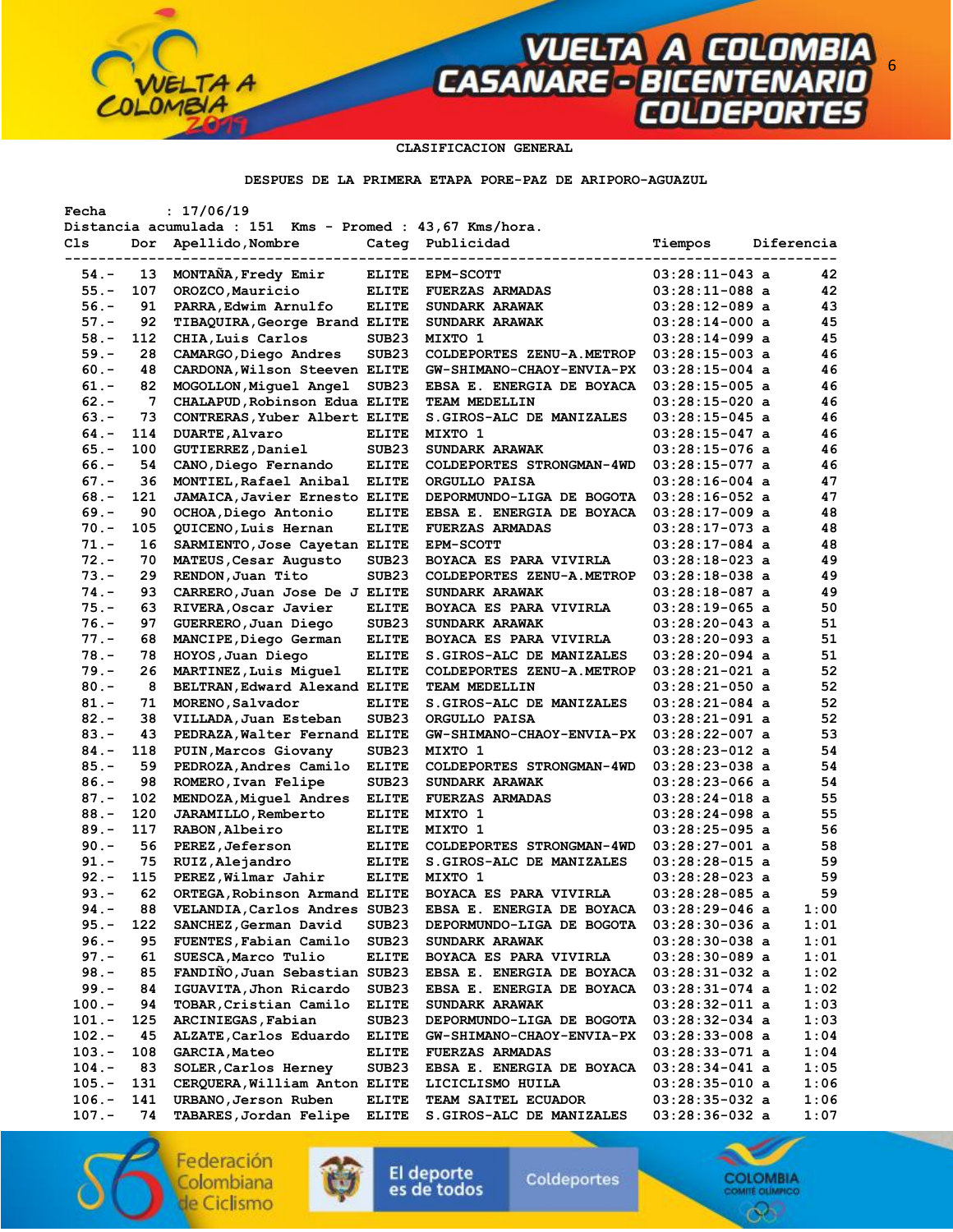#### **CLASIFICACION GENERAL**

**VUELTA A COLOMBIA<br>CASANARE - BICENTENARIO<br>COLDEPORTES** 

#### **DESPUES DE LA PRIMERA ETAPA PORE-PAZ DE ARIPORO-AGUAZUL**

| Fecha    |     | : 17/06/19                                               |                   |                            |                  |            |      |
|----------|-----|----------------------------------------------------------|-------------------|----------------------------|------------------|------------|------|
|          |     | Distancia acumulada : 151 Kms - Promed : 43,67 Kms/hora. |                   |                            |                  |            |      |
| Cls      | Dor | Apellido, Nombre                                         |                   | Categ Publicidad           | Tiempos          | Diferencia |      |
|          |     |                                                          |                   |                            |                  |            |      |
| $54. -$  | 13  | MONTAÑA, Fredy Emir                                      | <b>ELITE</b>      | <b>EPM-SCOTT</b>           | $03:28:11-043$ a |            | 42   |
| $55. -$  | 107 | OROZCO, Mauricio                                         | <b>ELITE</b>      | <b>FUERZAS ARMADAS</b>     | $03:28:11-088$ a |            | 42   |
| $56. -$  | 91  | PARRA, Edwim Arnulfo                                     | <b>ELITE</b>      | SUNDARK ARAWAK             | $03:28:12-089$ a |            | 43   |
| $57. -$  | 92  | TIBAQUIRA, George Brand ELITE                            |                   | SUNDARK ARAWAK             | $03:28:14-000$ a |            | 45   |
| $58. -$  | 112 | CHIA, Luis Carlos                                        | SUB <sub>23</sub> | MIXTO 1                    | 03:28:14-099 a   |            | 45   |
| $59. -$  | 28  | CAMARGO, Diego Andres                                    | SUB <sub>23</sub> | COLDEPORTES ZENU-A.METROP  | $03:28:15-003$ a |            | 46   |
| $60 -$   | 48  | CARDONA, Wilson Steeven ELITE                            |                   | GW-SHIMANO-CHAOY-ENVIA-PX  | $03:28:15-004$ a |            | 46   |
| $61. -$  | 82  | MOGOLLON, Miguel Angel                                   | SUB <sub>23</sub> | EBSA E. ENERGIA DE BOYACA  | $03:28:15-005$ a |            | 46   |
| $62 -$   | 7   | CHALAPUD, Robinson Edua ELITE                            |                   | TEAM MEDELLIN              | $03:28:15-020$ a |            | 46   |
| $63 -$   | 73  | CONTRERAS, Yuber Albert ELITE                            |                   | S.GIROS-ALC DE MANIZALES   | $03:28:15-045$ a |            | 46   |
| $64. -$  | 114 | <b>DUARTE, Alvaro</b>                                    | <b>ELITE</b>      | MIXTO 1                    | $03:28:15-047$ a |            | 46   |
| $65. -$  | 100 | GUTIERREZ, Daniel                                        | SUB <sub>23</sub> | SUNDARK ARAWAK             | $03:28:15-076$ a |            | 46   |
| $66. -$  | 54  | CANO, Diego Fernando                                     | <b>ELITE</b>      | COLDEPORTES STRONGMAN-4WD  | $03:28:15-077$ a |            | 46   |
| $67. -$  | 36  | MONTIEL, Rafael Anibal                                   | <b>ELITE</b>      | ORGULLO PAISA              | 03:28:16-004 a   |            | 47   |
|          |     |                                                          |                   |                            |                  |            | 47   |
| $68 -$   | 121 | <b>JAMAICA, Javier Ernesto ELITE</b>                     |                   | DEPORMUNDO-LIGA DE BOGOTA  | $03:28:16-052$ a |            |      |
| $69. -$  | 90  | OCHOA, Diego Antonio                                     | <b>ELITE</b>      | EBSA E. ENERGIA DE BOYACA  | $03:28:17-009$ a |            | 48   |
| $70. -$  | 105 | QUICENO, Luis Hernan                                     | <b>ELITE</b>      | <b>FUERZAS ARMADAS</b>     | $03:28:17-073$ a |            | 48   |
| $71. -$  | 16  | SARMIENTO, Jose Cayetan ELITE                            |                   | <b>EPM-SCOTT</b>           | $03:28:17-084$ a |            | 48   |
| $72 -$   | 70  | MATEUS, Cesar Augusto                                    | SUB <sub>23</sub> | BOYACA ES PARA VIVIRLA     | $03:28:18-023$ a |            | 49   |
| $73. -$  | 29  | RENDON, Juan Tito                                        | SUB <sub>23</sub> | COLDEPORTES ZENU-A. METROP | $03:28:18-038$ a |            | 49   |
| $74. -$  | 93  | CARRERO, Juan Jose De J ELITE                            |                   | SUNDARK ARAWAK             | 03:28:18-087 a   |            | 49   |
| $75. -$  | 63  | RIVERA, Oscar Javier                                     | <b>ELITE</b>      | BOYACA ES PARA VIVIRLA     | $03:28:19-065$ a |            | 50   |
| $76. -$  | 97  | GUERRERO, Juan Diego                                     | SUB <sub>23</sub> | SUNDARK ARAWAK             | $03:28:20-043$ a |            | 51   |
| $77. -$  | 68  | MANCIPE, Diego German                                    | <b>ELITE</b>      | BOYACA ES PARA VIVIRLA     | $03:28:20-093$ a |            | 51   |
| $78. -$  | 78  | HOYOS, Juan Diego                                        | <b>ELITE</b>      | S. GIROS-ALC DE MANIZALES  | $03:28:20-094$ a |            | 51   |
| $79. -$  | 26  | MARTINEZ, Luis Miquel                                    | <b>ELITE</b>      | COLDEPORTES ZENU-A.METROP  | $03:28:21-021$ a |            | 52   |
| $80 -$   | 8   | BELTRAN, Edward Alexand ELITE                            |                   | TEAM MEDELLIN              | $03:28:21-050$ a |            | 52   |
| $81. -$  | 71  | MORENO, Salvador                                         | <b>ELITE</b>      | S. GIROS-ALC DE MANIZALES  | $03:28:21-084$ a |            | 52   |
| $82 -$   | 38  | VILLADA, Juan Esteban                                    | SUB <sub>23</sub> | ORGULLO PAISA              | $03:28:21-091$ a |            | 52   |
| $83 -$   | 43  | PEDRAZA, Walter Fernand ELITE                            |                   | GW-SHIMANO-CHAOY-ENVIA-PX  | $03:28:22-007$ a |            | 53   |
| $84. -$  | 118 | PUIN, Marcos Giovany                                     | SUB <sub>23</sub> | MIXTO 1                    | $03:28:23-012$ a |            | 54   |
|          |     |                                                          |                   |                            |                  |            | 54   |
| $85. -$  | 59  | PEDROZA, Andres Camilo                                   | <b>ELITE</b>      | COLDEPORTES STRONGMAN-4WD  | $03:28:23-038$ a |            |      |
| $86. -$  | 98  | ROMERO, Ivan Felipe                                      | SUB <sub>23</sub> | SUNDARK ARAWAK             | $03:28:23-066$ a |            | 54   |
| $87. -$  | 102 | MENDOZA, Miquel Andres                                   | <b>ELITE</b>      | <b>FUERZAS ARMADAS</b>     | $03:28:24-018$ a |            | 55   |
| $88. -$  | 120 | JARAMILLO, Remberto                                      | <b>ELITE</b>      | MIXTO 1                    | $03:28:24-098$ a |            | 55   |
| $89. -$  | 117 | RABON, Albeiro                                           | <b>ELITE</b>      | MIXTO 1                    | $03:28:25-095$ a |            | 56   |
| $90 -$   | 56  | PEREZ, Jeferson                                          | <b>ELITE</b>      | COLDEPORTES STRONGMAN-4WD  | $03:28:27-001$ a |            | 58   |
| $91. -$  | 75  | RUIZ, Alejandro                                          | <b>ELITE</b>      | S. GIROS-ALC DE MANIZALES  | $03:28:28-015$ a |            | 59   |
| $92 -$   | 115 | PEREZ, Wilmar Jahir                                      | <b>ELITE</b>      | MIXTO 1                    | $03:28:28-023$ a |            | 59   |
| $93 -$   | 62  | ORTEGA, Robinson Armand ELITE                            |                   | BOYACA ES PARA VIVIRLA     | 03:28:28-085 a   |            | 59   |
| $94. -$  | 88  | VELANDIA, Carlos Andres SUB23                            |                   | EBSA E. ENERGIA DE BOYACA  | $03:28:29-046$ a |            | 1:00 |
| $95. -$  | 122 | SANCHEZ, German David                                    | SUB <sub>23</sub> | DEPORMUNDO-LIGA DE BOGOTA  | 03:28:30-036 a   |            | 1:01 |
| $96. -$  | 95  | FUENTES, Fabian Camilo                                   | SUB <sub>23</sub> | SUNDARK ARAWAK             | 03:28:30-038 a   |            | 1:01 |
| $97. -$  | 61  | SUESCA, Marco Tulio                                      | <b>ELITE</b>      | BOYACA ES PARA VIVIRLA     | $03:28:30-089$ a |            | 1:01 |
| $98. -$  | 85  | FANDIÑO, Juan Sebastian SUB23                            |                   | EBSA E. ENERGIA DE BOYACA  | $03:28:31-032$ a |            | 1:02 |
| $99. -$  | 84  | IGUAVITA, Jhon Ricardo                                   | SUB <sub>23</sub> | EBSA E. ENERGIA DE BOYACA  | $03:28:31-074$ a |            | 1:02 |
| $100. -$ | 94  | TOBAR, Cristian Camilo                                   | <b>ELITE</b>      | SUNDARK ARAWAK             | $03:28:32-011$ a |            | 1:03 |
| $101. -$ | 125 | ARCINIEGAS, Fabian                                       | SUB <sub>23</sub> | DEPORMUNDO-LIGA DE BOGOTA  | $03:28:32-034$ a |            | 1:03 |
| $102. -$ | 45  | ALZATE, Carlos Eduardo                                   | <b>ELITE</b>      | GW-SHIMANO-CHAOY-ENVIA-PX  | $03:28:33-008$ a |            | 1:04 |
| $103. -$ | 108 | <b>GARCIA, Mateo</b>                                     | <b>ELITE</b>      | <b>FUERZAS ARMADAS</b>     | $03:28:33-071$ a |            | 1:04 |
|          | 83  |                                                          |                   |                            |                  |            |      |
| $104.-$  |     | SOLER, Carlos Herney                                     | SUB <sub>23</sub> | EBSA E. ENERGIA DE BOYACA  | 03:28:34-041 a   |            | 1:05 |
| $105. -$ | 131 | CERQUERA, William Anton ELITE                            |                   | LICICLISMO HUILA           | $03:28:35-010$ a |            | 1:06 |
| $106. -$ | 141 | URBANO, Jerson Ruben                                     | <b>ELITE</b>      | TEAM SAITEL ECUADOR        | $03:28:35-032$ a |            | 1:06 |
| $107. -$ | 74  | TABARES, Jordan Felipe                                   | <b>ELITE</b>      | S. GIROS-ALC DE MANIZALES  | 03:28:36-032 a   |            | 1:07 |

Federación<br>Colombiana de Ciclismo

۰

 $TAA$ 



El deporte<br>es de todos

Coldeportes



6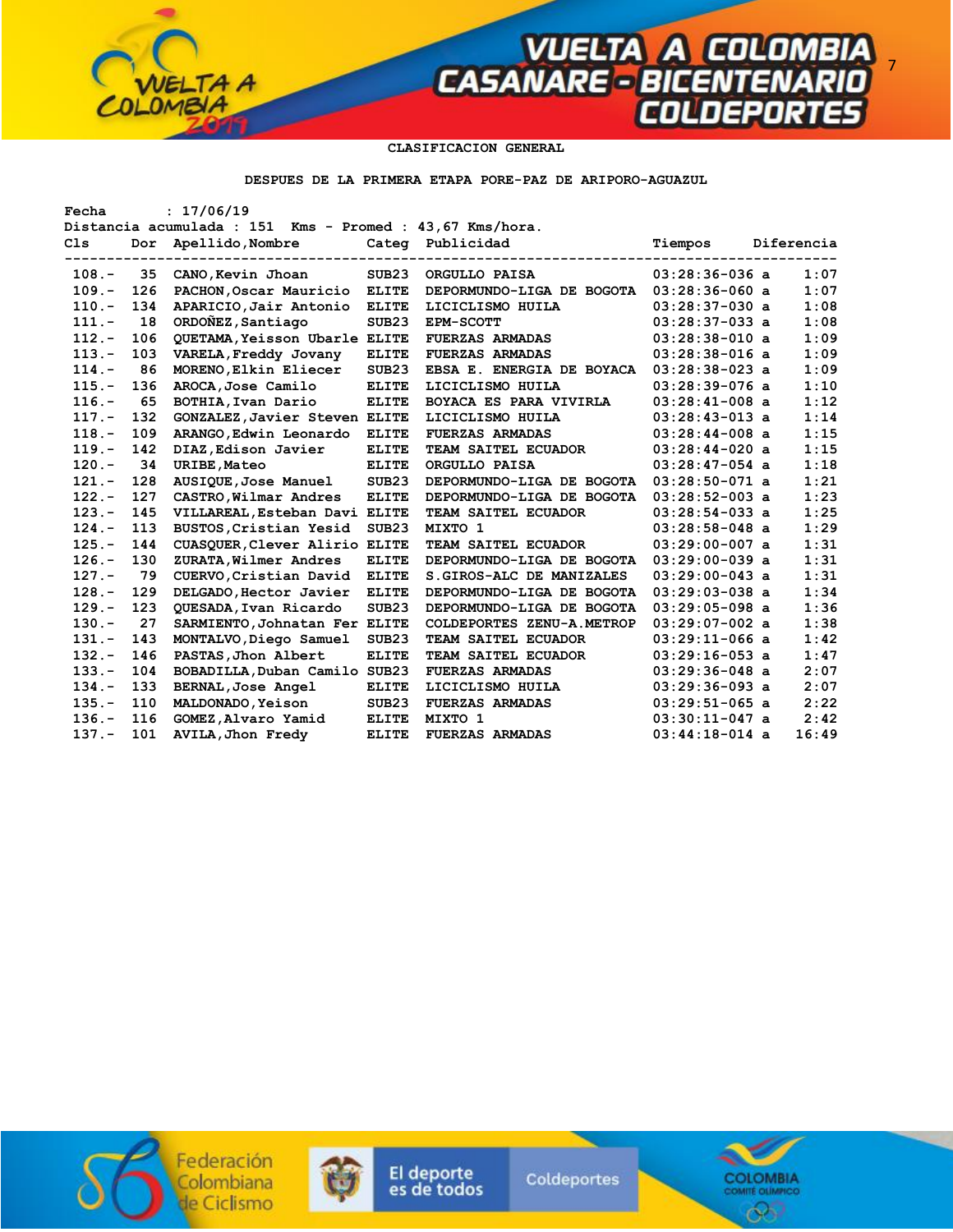

**VUELTA A COLOMBIA<br>FASANARE - BICENTENARIO<br>COLDEPORTES** 

#### **DESPUES DE LA PRIMERA ETAPA PORE-PAZ DE ARIPORO-AGUAZUL**

| Fecha                                                    |     | : 17/06/19                           |                   |                           |                  |  |            |  |  |
|----------------------------------------------------------|-----|--------------------------------------|-------------------|---------------------------|------------------|--|------------|--|--|
| Distancia acumulada : 151 Kms - Promed : 43,67 Kms/hora. |     |                                      |                   |                           |                  |  |            |  |  |
| C <sub>1s</sub>                                          | Dor | Apellido, Nombre                     |                   | Categ Publicidad          | Tiempos          |  | Diferencia |  |  |
|                                                          |     |                                      |                   |                           |                  |  |            |  |  |
| $108. -$                                                 | 35  | CANO, Kevin Jhoan                    | SUB <sub>23</sub> | ORGULLO PAISA             | $03:28:36-036$ a |  | 1:07       |  |  |
| $109. -$                                                 | 126 | PACHON, Oscar Mauricio               | <b>ELITE</b>      | DEPORMUNDO-LIGA DE BOGOTA | $03:28:36-060$ a |  | 1:07       |  |  |
| $110. -$                                                 | 134 | APARICIO, Jair Antonio               | <b>ELITE</b>      | LICICLISMO HUILA          | $03:28:37-030$ a |  | 1:08       |  |  |
| $111. -$                                                 | 18  | ORDONEZ, Santiago                    | SUB <sub>23</sub> | <b>EPM-SCOTT</b>          | $03:28:37-033$ a |  | 1:08       |  |  |
| $112. -$                                                 | 106 | <b>QUETAMA, Yeisson Ubarle ELITE</b> |                   | <b>FUERZAS ARMADAS</b>    | $03:28:38-010$ a |  | 1:09       |  |  |
| $113 -$                                                  | 103 | VARELA, Freddy Jovany                | <b>ELITE</b>      | <b>FUERZAS ARMADAS</b>    | $03:28:38-016$ a |  | 1:09       |  |  |
| $114. -$                                                 | 86  | MORENO, Elkin Eliecer                | SUB23             | EBSA E. ENERGIA DE BOYACA | $03:28:38-023$ a |  | 1:09       |  |  |
| $115. -$                                                 | 136 | AROCA, Jose Camilo                   | <b>ELITE</b>      | LICICLISMO HUILA          | $03:28:39-076$ a |  | 1:10       |  |  |
| $116. -$                                                 | 65  | BOTHIA, Ivan Dario                   | <b>ELITE</b>      | BOYACA ES PARA VIVIRLA    | $03:28:41-008$ a |  | 1:12       |  |  |
| $117. -$                                                 | 132 | GONZALEZ, Javier Steven ELITE        |                   | LICICLISMO HUILA          | $03:28:43-013$ a |  | 1:14       |  |  |
| $118. -$                                                 | 109 | ARANGO, Edwin Leonardo               | <b>ELITE</b>      | <b>FUERZAS ARMADAS</b>    | $03:28:44-008$ a |  | 1:15       |  |  |
| $119. -$                                                 | 142 | DIAZ, Edison Javier                  | <b>ELITE</b>      | TEAM SAITEL ECUADOR       | $03:28:44-020$ a |  | 1:15       |  |  |
| $120 -$                                                  | 34  | <b>URIBE, Mateo</b>                  | <b>ELITE</b>      | ORGULLO PAISA             | $03:28:47-054$ a |  | 1:18       |  |  |
| $121 -$                                                  | 128 | AUSIQUE, Jose Manuel                 | SUB <sub>23</sub> | DEPORMUNDO-LIGA DE BOGOTA | $03:28:50-071$ a |  | 1:21       |  |  |
| $122 -$                                                  | 127 | CASTRO, Wilmar Andres                | <b>ELITE</b>      | DEPORMUNDO-LIGA DE BOGOTA | $03:28:52-003$ a |  | 1:23       |  |  |
| $123 -$                                                  | 145 | VILLAREAL, Esteban Davi ELITE        |                   | TEAM SAITEL ECUADOR       | $03:28:54-033$ a |  | 1:25       |  |  |
| $124. -$                                                 | 113 | BUSTOS, Cristian Yesid               | SUB <sub>23</sub> | MIXTO 1                   | $03:28:58-048$ a |  | 1:29       |  |  |
| $125. -$                                                 | 144 | CUASQUER, Clever Alirio ELITE        |                   | TEAM SAITEL ECUADOR       | $03:29:00-007$ a |  | 1:31       |  |  |
| $126. -$                                                 | 130 | ZURATA, Wilmer Andres                | <b>ELITE</b>      | DEPORMUNDO-LIGA DE BOGOTA | $03:29:00-039$ a |  | 1:31       |  |  |
| $127. -$                                                 | 79  | CUERVO, Cristian David               | <b>ELITE</b>      | S. GIROS-ALC DE MANIZALES | $03:29:00-043$ a |  | 1:31       |  |  |
| $128 -$                                                  | 129 | DELGADO, Hector Javier               | <b>ELITE</b>      | DEPORMUNDO-LIGA DE BOGOTA | $03:29:03-038$ a |  | 1:34       |  |  |
| $129. -$                                                 | 123 | QUESADA, Ivan Ricardo                | SUB <sub>23</sub> | DEPORMUNDO-LIGA DE BOGOTA | $03:29:05-098$ a |  | 1:36       |  |  |
| $130 -$                                                  | 27  | SARMIENTO, Johnatan Fer ELITE        |                   | COLDEPORTES ZENU-A.METROP | $03:29:07-002$ a |  | 1:38       |  |  |
| $131 -$                                                  | 143 | MONTALVO, Diego Samuel               | SUB23             | TEAM SAITEL ECUADOR       | $03:29:11-066$ a |  | 1:42       |  |  |
| $132 -$                                                  | 146 | PASTAS, Jhon Albert                  | <b>ELITE</b>      | TEAM SAITEL ECUADOR       | $03:29:16-053$ a |  | 1:47       |  |  |
| $133 -$                                                  | 104 | BOBADILLA, Duban Camilo SUB23        |                   | <b>FUERZAS ARMADAS</b>    | $03:29:36-048$ a |  | 2:07       |  |  |
| $134 -$                                                  | 133 | BERNAL, Jose Angel                   | <b>ELITE</b>      | LICICLISMO HUILA          | $03:29:36-093$ a |  | 2:07       |  |  |
| $135. -$                                                 | 110 | MALDONADO, Yeison                    | SUB <sub>23</sub> | <b>FUERZAS ARMADAS</b>    | $03:29:51-065$ a |  | 2:22       |  |  |
| $136. -$                                                 | 116 | GOMEZ, Alvaro Yamid                  | <b>ELITE</b>      | MIXTO 1                   | $03:30:11-047$ a |  | 2:42       |  |  |
| $137. -$                                                 | 101 | <b>AVILA, Jhon Fredy</b>             | <b>ELITE</b>      | <b>FUERZAS ARMADAS</b>    | $03:44:18-014$ a |  | 16:49      |  |  |



۰

 $TAA$ 



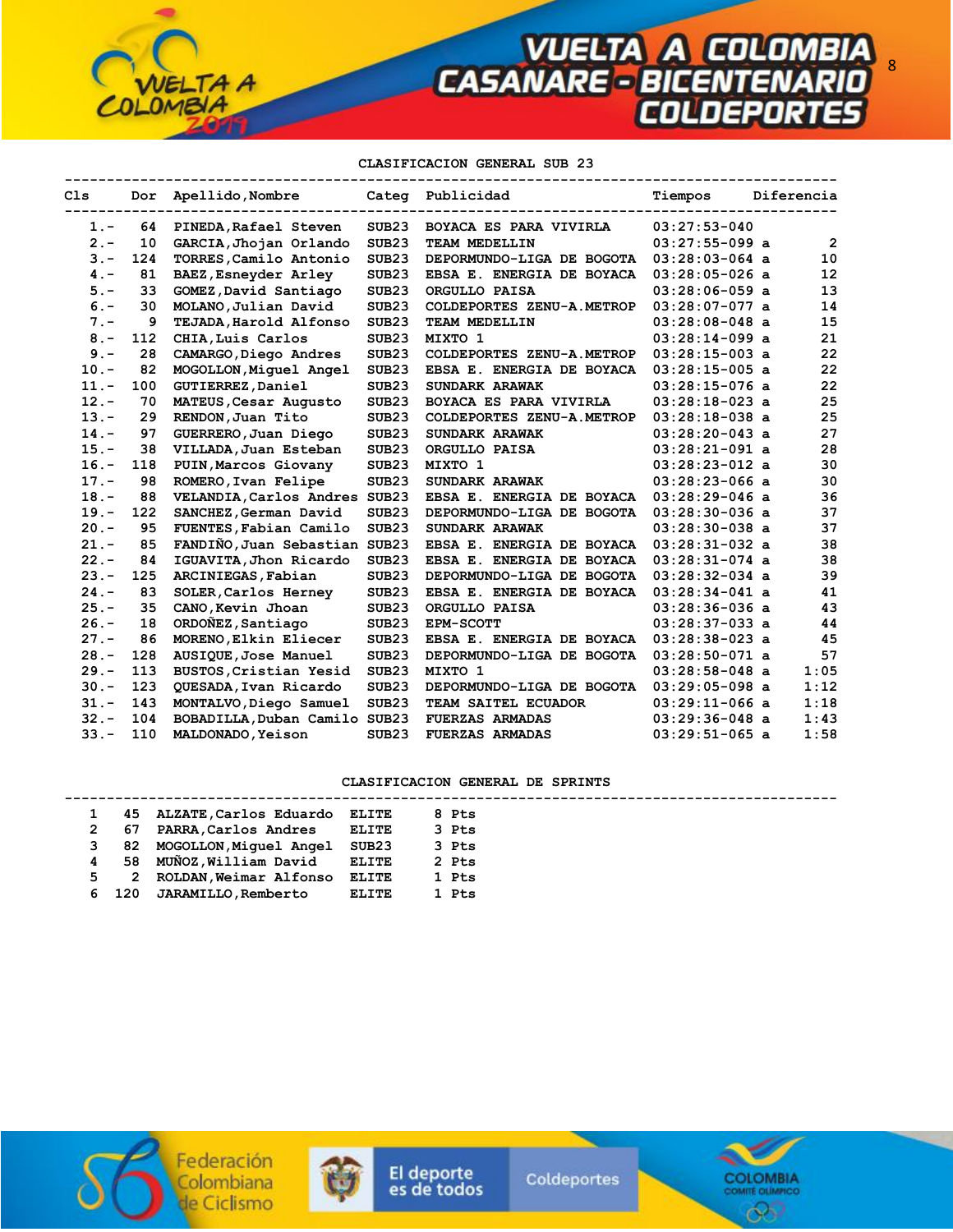8

## **CLASIFICACION GENERAL SUB 23**

| C1s     |     | Dor Apellido, Nombre          |                   | Categ Publicidad          | Tiempos          | Diferencia |                   |
|---------|-----|-------------------------------|-------------------|---------------------------|------------------|------------|-------------------|
| $1. -$  | 64  | PINEDA, Rafael Steven         | SUB <sub>23</sub> | BOYACA ES PARA VIVIRLA    | $03:27:53-040$   |            |                   |
| $2 -$   | 10  | GARCIA, Jhojan Orlando        | SUB23             | TEAM MEDELLIN             | $03:27:55-099$ a |            | $\overline{2}$    |
| $3 -$   | 124 | TORRES, Camilo Antonio        | SUB <sub>23</sub> | DEPORMUNDO-LIGA DE BOGOTA | $03:28:03-064$ a |            | 10                |
| $4 -$   | 81  | BAEZ, Esneyder Arley          | SUB <sub>23</sub> | EBSA E. ENERGIA DE BOYACA | $03:28:05-026$ a |            | $12 \overline{ }$ |
| $5. -$  | 33  | GOMEZ, David Santiago         | SUB <sub>23</sub> | ORGULLO PAISA             | $03:28:06-059$ a |            | 13                |
| $6. -$  | 30  | MOLANO, Julian David          | SUB <sub>23</sub> | COLDEPORTES ZENU-A.METROP | $03:28:07-077$ a |            | 14                |
| $7 -$   | 9   | TEJADA, Harold Alfonso        | SUB <sub>23</sub> | TEAM MEDELLIN             | $03:28:08-048$ a |            | 15                |
| $8 -$   | 112 | CHIA, Luis Carlos             | SUB23             | MIXTO 1                   | $03:28:14-099$ a |            | 21                |
| $9 -$   | 28  | CAMARGO, Diego Andres         | SUB <sub>23</sub> | COLDEPORTES ZENU-A.METROP | $03:28:15-003$ a |            | 22                |
| $10. -$ | 82  | MOGOLLON, Miquel Angel        | SUB <sub>23</sub> | EBSA E. ENERGIA DE BOYACA | $03:28:15-005$ a |            | 22                |
| $11. -$ | 100 | <b>GUTIERREZ, Daniel</b>      | SUB <sub>23</sub> | SUNDARK ARAWAK            | $03:28:15-076$ a |            | 22                |
| $12 -$  | 70  | MATEUS, Cesar Augusto         | SUB <sub>23</sub> | BOYACA ES PARA VIVIRLA    | $03:28:18-023$ a |            | 25                |
| $13 -$  | 29  | RENDON, Juan Tito             | SUB <sub>23</sub> | COLDEPORTES ZENU-A.METROP | $03:28:18-038$ a |            | 25                |
| $14. -$ | 97  | GUERRERO, Juan Diego          | SUB <sub>23</sub> | SUNDARK ARAWAK            | $03:28:20-043$ a |            | 27                |
| $15. -$ | 38  | VILLADA, Juan Esteban         | SUB <sub>23</sub> | ORGULLO PAISA             | $03:28:21-091$ a |            | 28                |
| $16. -$ | 118 | PUIN, Marcos Giovany          | SUB <sub>23</sub> | MIXTO 1                   | $03:28:23-012$ a |            | 30                |
| $17. -$ | 98  | ROMERO, Ivan Felipe           | SUB <sub>23</sub> | SUNDARK ARAWAK            | $03:28:23-066$ a |            | 30                |
| $18. -$ | 88  | VELANDIA, Carlos Andres SUB23 |                   | EBSA E. ENERGIA DE BOYACA | $03:28:29-046$ a |            | 36                |
| $19. -$ | 122 | SANCHEZ, German David         | SUB <sub>23</sub> | DEPORMUNDO-LIGA DE BOGOTA | $03:28:30-036$ a |            | 37                |
| $20. -$ | 95  | FUENTES, Fabian Camilo        | SUB <sub>23</sub> | SUNDARK ARAWAK            | $03:28:30-038$ a |            | 37                |
| $21 -$  | 85  | FANDIÑO, Juan Sebastian SUB23 |                   | EBSA E. ENERGIA DE BOYACA | $03:28:31-032$ a |            | 38                |
| $22 -$  | 84  | IGUAVITA, Jhon Ricardo        | SUB <sub>23</sub> | EBSA E. ENERGIA DE BOYACA | $03:28:31-074$ a |            | 38                |
| $23 -$  | 125 | ARCINIEGAS, Fabian            | SUB23             | DEPORMUNDO-LIGA DE BOGOTA | $03:28:32-034$ a |            | 39                |
| $24. -$ | 83  | SOLER, Carlos Herney          | SUB <sub>23</sub> | EBSA E. ENERGIA DE BOYACA | $03:28:34-041$ a |            | 41                |
| $25. -$ | 35  | CANO, Kevin Jhoan             | SUB <sub>23</sub> | ORGULLO PAISA             | $03:28:36-036$ a |            | 43                |
| $26. -$ | 18  | ORDONEZ, Santiago             | SUB <sub>23</sub> | EPM-SCOTT                 | $03:28:37-033$ a |            | 44                |
| $27 -$  | 86  | MORENO, Elkin Eliecer         | SUB <sub>23</sub> | EBSA E. ENERGIA DE BOYACA | $03:28:38-023$ a |            | 45                |
| $28. -$ | 128 | AUSIQUE, Jose Manuel          | SUB <sub>23</sub> | DEPORMUNDO-LIGA DE BOGOTA | $03:28:50-071$ a |            | 57                |
| $29. -$ | 113 | BUSTOS, Cristian Yesid        | SUB <sub>23</sub> | MIXTO 1                   | $03:28:58-048$ a |            | 1:05              |
| $30 -$  | 123 | QUESADA, Ivan Ricardo         | SUB <sub>23</sub> | DEPORMUNDO-LIGA DE BOGOTA | $03:29:05-098$ a |            | 1:12              |
| $31 -$  | 143 | MONTALVO, Diego Samuel        | SUB <sub>23</sub> | TEAM SAITEL ECUADOR       | $03:29:11-066$ a |            | 1:18              |
| $32 -$  | 104 | BOBADILLA, Duban Camilo SUB23 |                   | <b>FUERZAS ARMADAS</b>    | $03:29:36-048$ a |            | 1:43              |
| $33 -$  | 110 | MALDONADO, Yeison             | SUB <sub>23</sub> | <b>FUERZAS ARMADAS</b>    | $03:29:51-065$ a |            | 1:58              |

# **CLASIFICACION GENERAL DE SPRINTS**

|   |       | 45 ALZATE, Carlos Eduardo | ELITE        | 8 Pts |  |
|---|-------|---------------------------|--------------|-------|--|
|   | 67    | PARRA, Carlos Andres      | <b>ELITE</b> | 3 Pts |  |
| 3 |       | 82 MOGOLLON, Miquel Angel | SUB23        | 3 Pts |  |
| 4 |       | 58 MUÑOZ, William David   | ELITE        | 2 Pts |  |
| 5 | 2     | ROLDAN, Weimar Alfonso    | ELITE        | 1 Pts |  |
|   | 6 120 | JARAMILLO, Remberto       | <b>ELITE</b> | 1 Pts |  |
|   |       |                           |              |       |  |



 $\bullet$ 

TA A



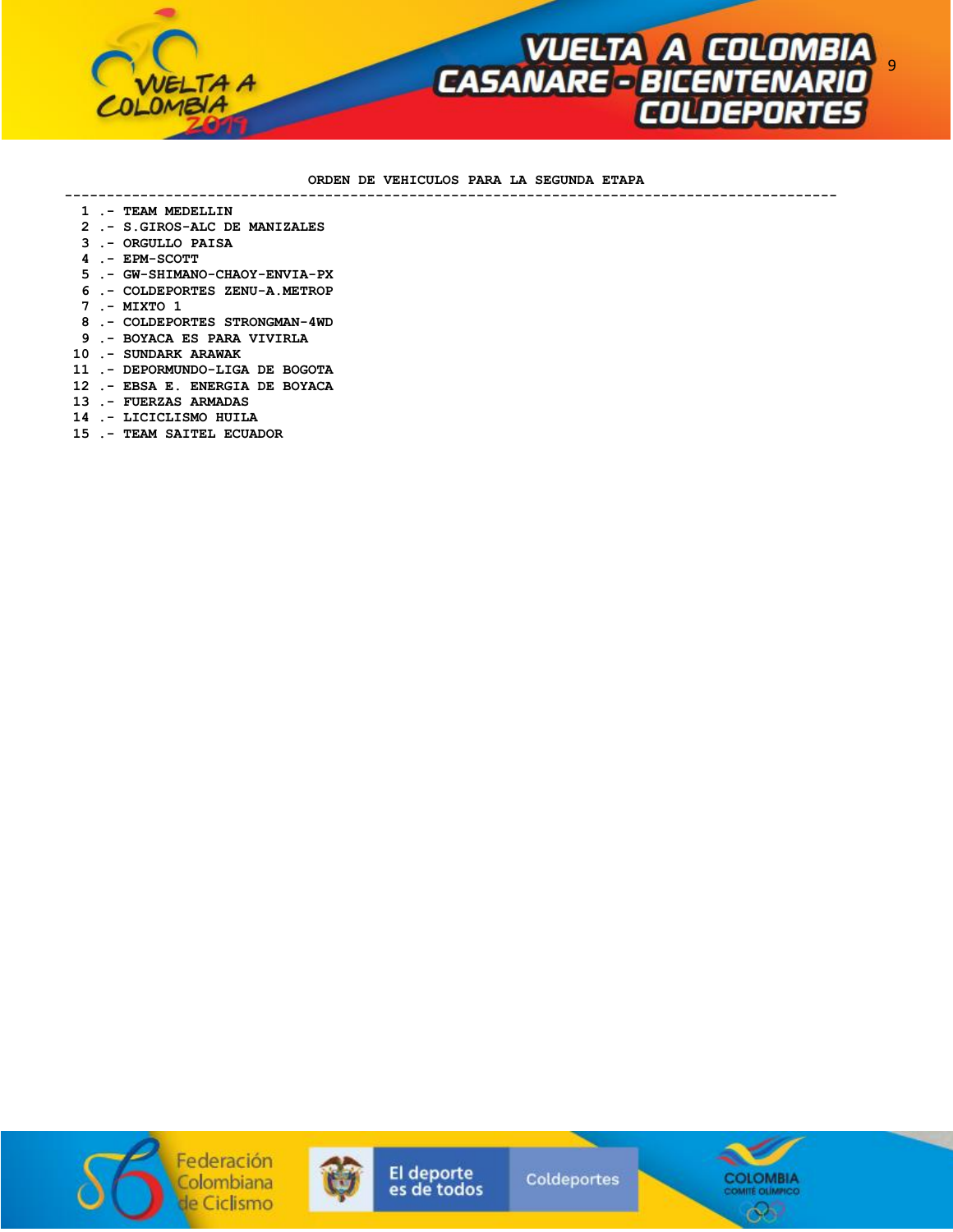

### **ORDEN DE VEHICULOS PARA LA SEGUNDA ETAPA**

 **--------------------------------------------------------------------------------------------** 

- **1 .- TEAM MEDELLIN**
- **2 .- S.GIROS-ALC DE MANIZALES**
- **3 .- ORGULLO PAISA**
- **4 .- EPM-SCOTT**
- **5 .- GW-SHIMANO-CHAOY-ENVIA-PX**
- **6 .- COLDEPORTES ZENU-A.METROP**
- **7 .- MIXTO 1**
- **8 .- COLDEPORTES STRONGMAN-4WD**
- **9 .- BOYACA ES PARA VIVIRLA**
- **10 .- SUNDARK ARAWAK**
- **11 .- DEPORMUNDO-LIGA DE BOGOTA**
- **12 .- EBSA E. ENERGIA DE BOYACA**
- **13 .- FUERZAS ARMADAS**
- **14 .- LICICLISMO HUILA**
- **15 .- TEAM SAITEL ECUADOR**





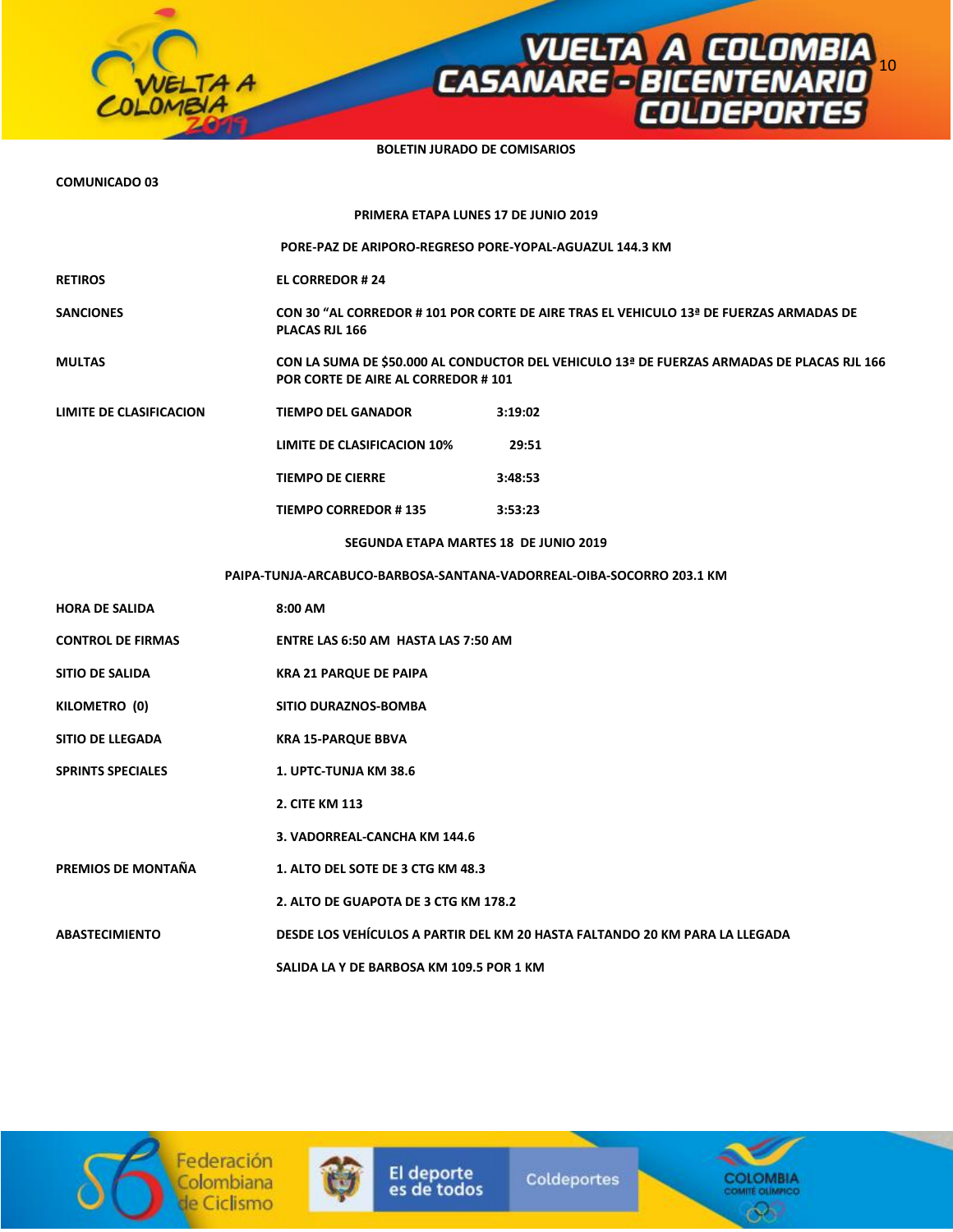**BOLETIN JURADO DE COMISARIOS** 

**VUELTA A COLOMBIA<br>CASANARE - BICENTENARIO<br>COLDEPORTES** 

**COMUNICADO 03** 

TA A

| PRIMERA ETAPA LUNES 17 DE JUNIO 2019                                 |                                                                                                                                  |                                                                                        |  |  |  |  |
|----------------------------------------------------------------------|----------------------------------------------------------------------------------------------------------------------------------|----------------------------------------------------------------------------------------|--|--|--|--|
|                                                                      | PORE-PAZ DE ARIPORO-REGRESO PORE-YOPAL-AGUAZUL 144.3 KM                                                                          |                                                                                        |  |  |  |  |
| RETIROS                                                              | <b>EL CORREDOR #24</b>                                                                                                           |                                                                                        |  |  |  |  |
| <b>SANCIONES</b>                                                     | PLACAS RJL 166                                                                                                                   | CON 30 "AL CORREDOR # 101 POR CORTE DE AIRE TRAS EL VEHICULO 13ª DE FUERZAS ARMADAS DE |  |  |  |  |
| MULTAS                                                               | CON LA SUMA DE \$50.000 AL CONDUCTOR DEL VEHICULO 13ª DE FUERZAS ARMADAS DE PLACAS RJL 166<br>POR CORTE DE AIRE AL CORREDOR #101 |                                                                                        |  |  |  |  |
| <b>LIMITE DE CLASIFICACION</b>                                       | <b>TIEMPO DEL GANADOR</b>                                                                                                        | 3:19:02                                                                                |  |  |  |  |
|                                                                      | LIMITE DE CLASIFICACION 10%                                                                                                      | 29:51                                                                                  |  |  |  |  |
|                                                                      | <b>TIEMPO DE CIERRE</b>                                                                                                          | 3:48:53                                                                                |  |  |  |  |
|                                                                      | <b>TIEMPO CORREDOR #135</b>                                                                                                      | 3:53:23                                                                                |  |  |  |  |
|                                                                      | SEGUNDA ETAPA MARTES 18 DE JUNIO 2019                                                                                            |                                                                                        |  |  |  |  |
| PAIPA-TUNJA-ARCABUCO-BARBOSA-SANTANA-VADORREAL-OIBA-SOCORRO 203.1 KM |                                                                                                                                  |                                                                                        |  |  |  |  |
| HORA DE SALIDA                                                       | 8:00 AM                                                                                                                          |                                                                                        |  |  |  |  |
| <b>CONTROL DE FIRMAS</b>                                             | ENTRE LAS 6:50 AM HASTA LAS 7:50 AM                                                                                              |                                                                                        |  |  |  |  |
| SITIO DE SALIDA                                                      | <b>KRA 21 PARQUE DE PAIPA</b>                                                                                                    |                                                                                        |  |  |  |  |
| KILOMETRO (0)                                                        | <b>SITIO DURAZNOS-BOMBA</b>                                                                                                      |                                                                                        |  |  |  |  |
| <b>SITIO DE LLEGADA</b>                                              | <b>KRA 15-PARQUE BBVA</b>                                                                                                        |                                                                                        |  |  |  |  |
| <b>SPRINTS SPECIALES</b>                                             | 1. UPTC-TUNJA KM 38.6                                                                                                            |                                                                                        |  |  |  |  |
|                                                                      | 2. CITE KM 113                                                                                                                   |                                                                                        |  |  |  |  |
|                                                                      | 3. VADORREAL-CANCHA KM 144.6                                                                                                     |                                                                                        |  |  |  |  |
| PREMIOS DE MONTAÑA                                                   | 1. ALTO DEL SOTE DE 3 CTG KM 48.3                                                                                                |                                                                                        |  |  |  |  |
|                                                                      | 2. ALTO DE GUAPOTA DE 3 CTG KM 178.2                                                                                             |                                                                                        |  |  |  |  |
| ABASTECIMIENTO                                                       | DESDE LOS VEHÍCULOS A PARTIR DEL KM 20 HASTA FALTANDO 20 KM PARA LA LLEGADA                                                      |                                                                                        |  |  |  |  |
|                                                                      | SALIDA LA Y DE BARBOSA KM 109.5 POR 1 KM                                                                                         |                                                                                        |  |  |  |  |





El deporte<br>es de todos

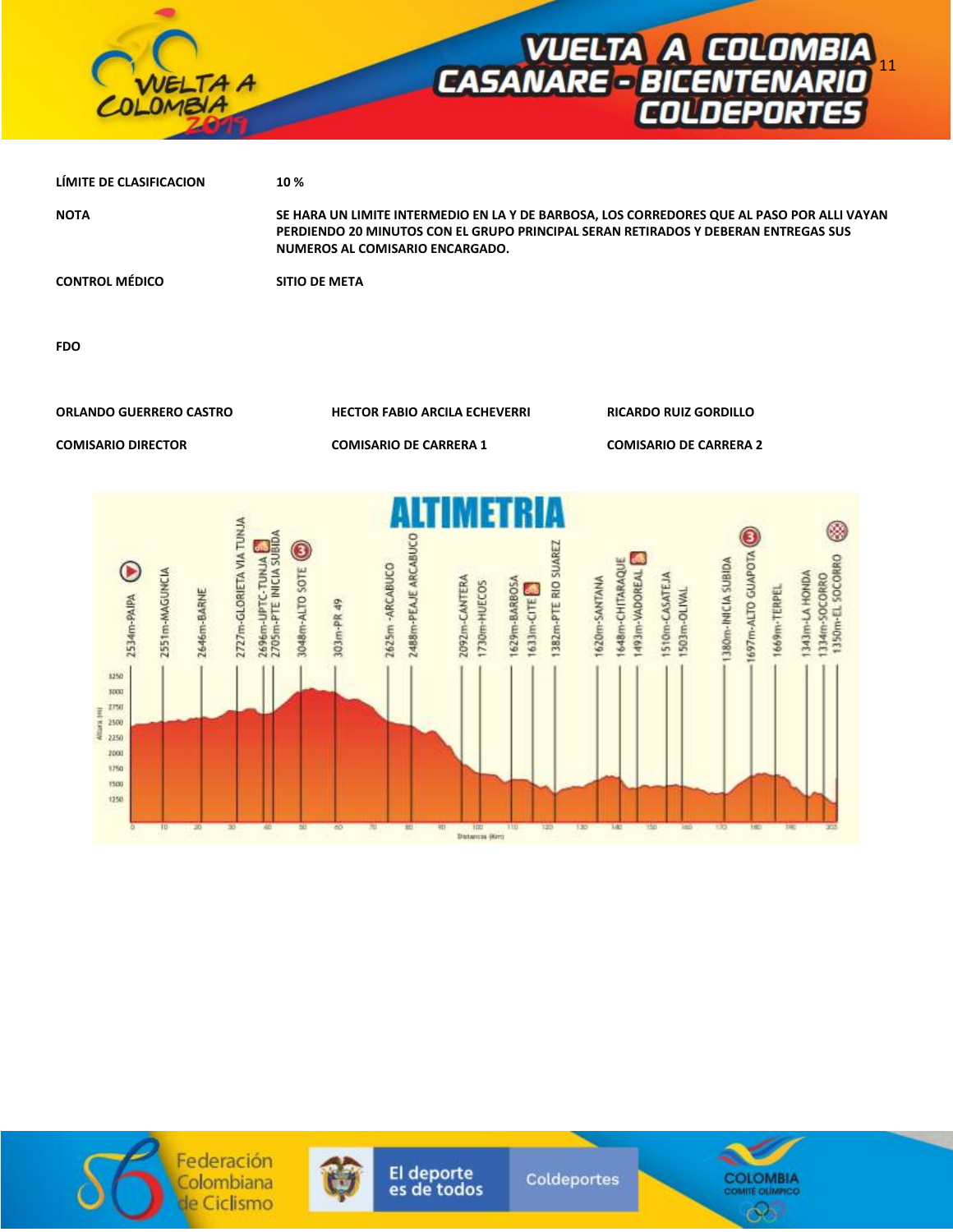

| LIMITE DE CLASIFICACION | 10 %                                                                                                                                                                                                                |
|-------------------------|---------------------------------------------------------------------------------------------------------------------------------------------------------------------------------------------------------------------|
| <b>NOTA</b>             | SE HARA UN LIMITE INTERMEDIO EN LA Y DE BARBOSA, LOS CORREDORES QUE AL PASO POR ALLI VAYAN<br>PERDIENDO 20 MINUTOS CON EL GRUPO PRINCIPAL SERAN RETIRADOS Y DEBERAN ENTREGAS SUS<br>NUMEROS AL COMISARIO ENCARGADO. |
| <b>CONTROL MÉDICO</b>   | <b>SITIO DE META</b>                                                                                                                                                                                                |

**FDO** 

**ORLANDO GUERRERO CASTRO HECTOR FABIO ARCILA ECHEVERRI RICARDO RUIZ GORDILLO** 

**COMISARIO DIRECTOR COMISARIO DE CARRERA 1 COMISARIO DE CARRERA 2** 







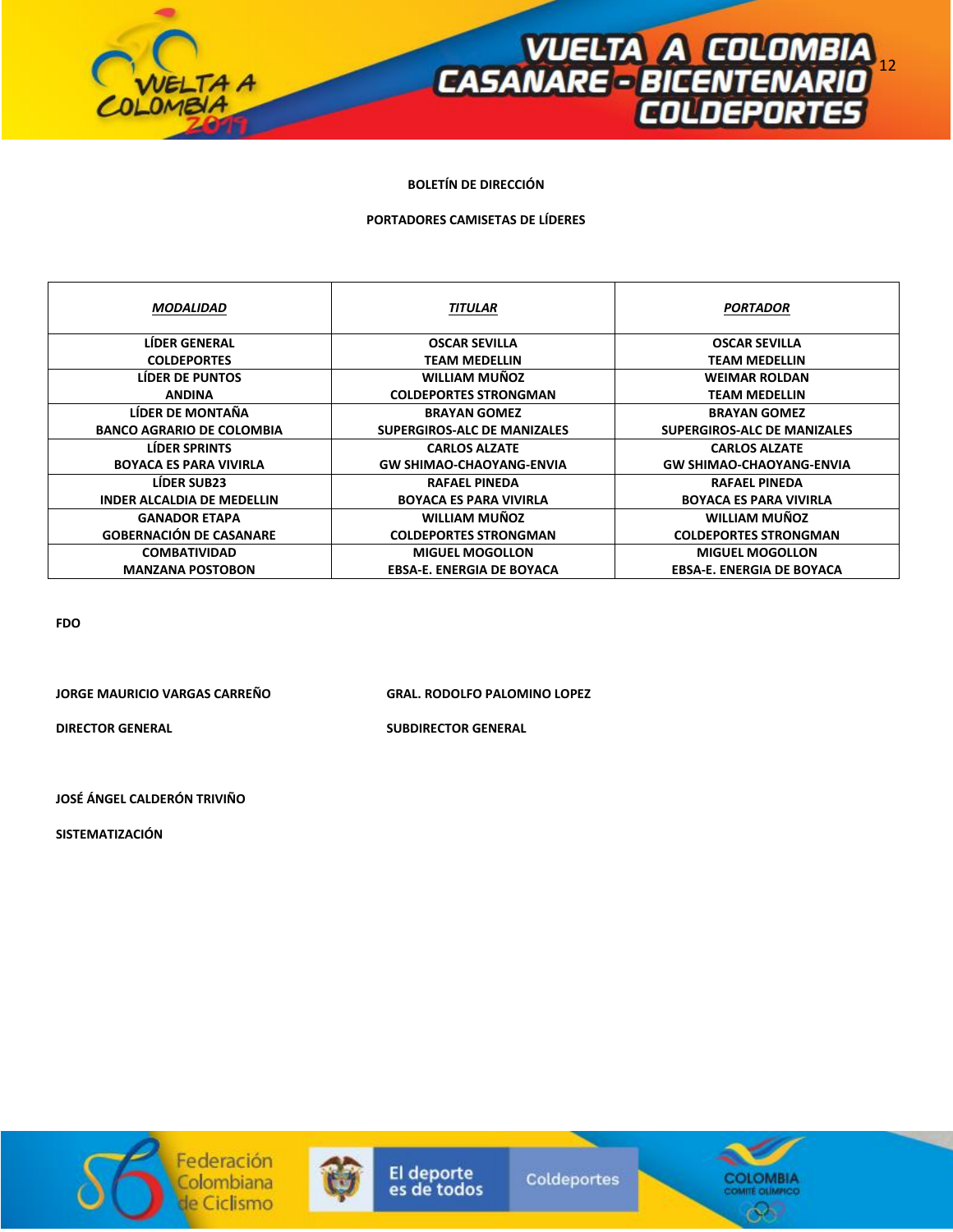

## **BOLETÍN DE DIRECCIÓN**

### **PORTADORES CAMISETAS DE LÍDERES**

| <b>MODALIDAD</b>                  | <b>TITULAR</b>                   | <b>PORTADOR</b>                  |
|-----------------------------------|----------------------------------|----------------------------------|
| <b>LIDER GENERAL</b>              | <b>OSCAR SEVILLA</b>             | <b>OSCAR SEVILLA</b>             |
| <b>COLDEPORTES</b>                | TEAM MEDELLIN                    | <b>TEAM MEDELLIN</b>             |
| <b>LIDER DE PUNTOS</b>            | <b>WILLIAM MUÑOZ</b>             | <b>WEIMAR ROLDAN</b>             |
| <b>ANDINA</b>                     | <b>COLDEPORTES STRONGMAN</b>     | <b>TEAM MEDELLIN</b>             |
| LÍDER DE MONTAÑA                  | <b>BRAYAN GOMEZ</b>              | <b>BRAYAN GOMEZ</b>              |
| <b>BANCO AGRARIO DE COLOMBIA</b>  | SUPERGIROS-ALC DE MANIZALES      | SUPERGIROS-ALC DE MANIZALES      |
| <b>LÍDER SPRINTS</b>              | <b>CARLOS ALZATE</b>             | <b>CARLOS ALZATE</b>             |
| <b>BOYACA ES PARA VIVIRLA</b>     | <b>GW SHIMAO-CHAOYANG-ENVIA</b>  | <b>GW SHIMAO-CHAOYANG-ENVIA</b>  |
| <b>LÍDER SUB23</b>                | RAFAEL PINEDA                    | <b>RAFAEL PINEDA</b>             |
| <b>INDER ALCALDIA DE MEDELLIN</b> | <b>BOYACA ES PARA VIVIRLA</b>    | <b>BOYACA ES PARA VIVIRLA</b>    |
| <b>GANADOR ETAPA</b>              | <b>WILLIAM MUÑOZ</b>             | <b>WILLIAM MUÑOZ</b>             |
| <b>GOBERNACIÓN DE CASANARE</b>    | <b>COLDEPORTES STRONGMAN</b>     | <b>COLDEPORTES STRONGMAN</b>     |
| <b>COMBATIVIDAD</b>               | <b>MIGUEL MOGOLLON</b>           | <b>MIGUEL MOGOLLON</b>           |
| <b>MANZANA POSTOBON</b>           | <b>EBSA-E. ENERGIA DE BOYACA</b> | <b>EBSA-E. ENERGIA DE BOYACA</b> |

**FDO** 

**JORGE MAURICIO VARGAS CARREÑO GRAL. RODOLFO PALOMINO LOPEZ** 

**DIRECTOR GENERAL SUBDIRECTOR GENERAL** 

**JOSÉ ÁNGEL CALDERÓN TRIVIÑO** 

**SISTEMATIZACIÓN**